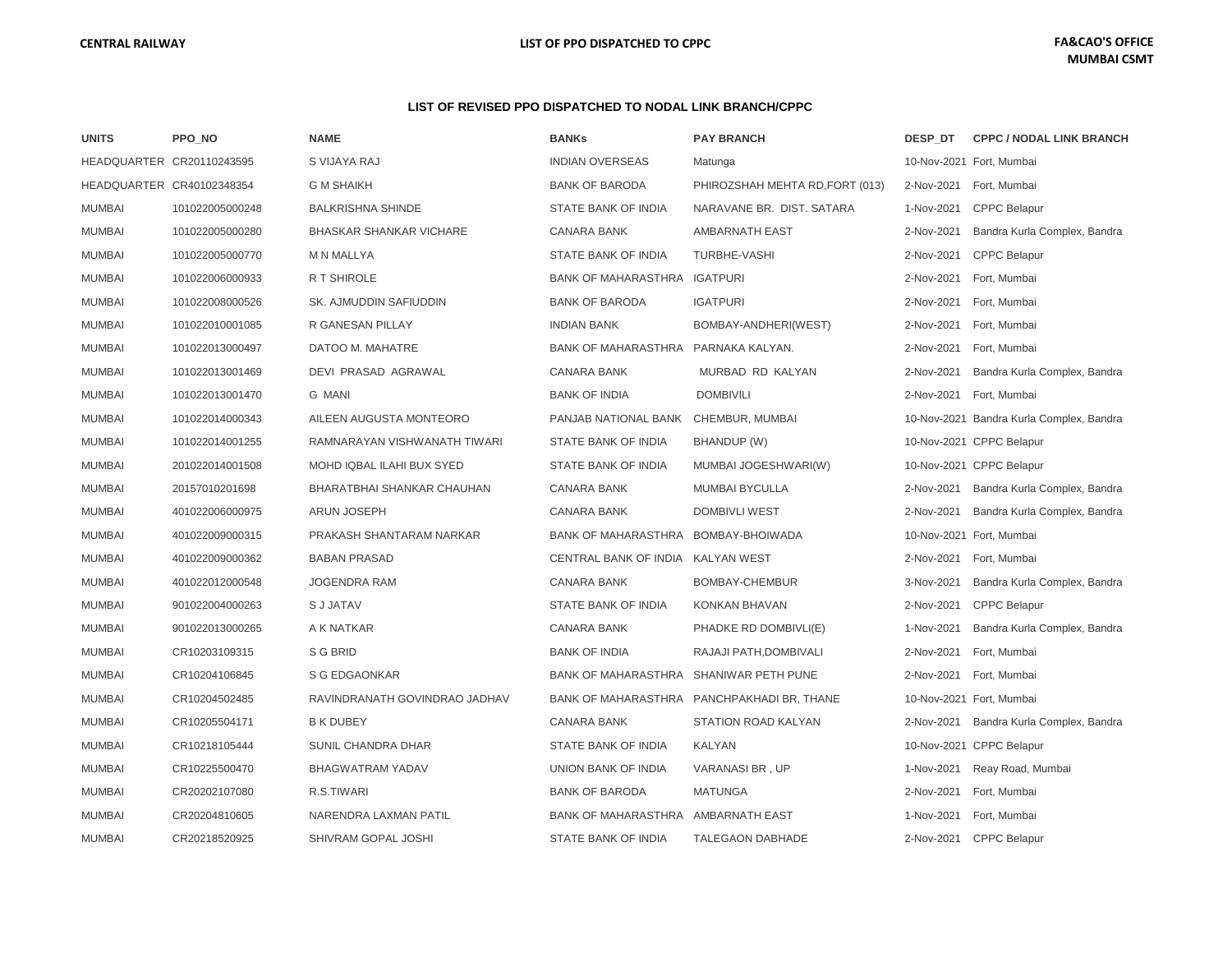#### **LIST OF REVISED PPO DISPATCHED TO NODAL LINK BRANCH/CPPC**

| <b>UNITS</b>  | PPO NO                    | <b>NAME</b>                       | <b>BANKs</b>                       | <b>PAY BRANCH</b>                          | DESP DT    | <b>CPPC / NODAL LINK BRANCH</b>          |
|---------------|---------------------------|-----------------------------------|------------------------------------|--------------------------------------------|------------|------------------------------------------|
|               | HEADQUARTER CR20110243595 | S VIJAYA RAJ                      | <b>INDIAN OVERSEAS</b>             | Matunga                                    |            | 10-Nov-2021 Fort, Mumbai                 |
|               | HEADQUARTER CR40102348354 | <b>G M SHAIKH</b>                 | <b>BANK OF BARODA</b>              | PHIROZSHAH MEHTA RD, FORT (013)            | 2-Nov-2021 | Fort, Mumbai                             |
| <b>MUMBAI</b> | 101022005000248           | <b>BALKRISHNA SHINDE</b>          | STATE BANK OF INDIA                | NARAVANE BR. DIST. SATARA                  | 1-Nov-2021 | <b>CPPC Belapur</b>                      |
| <b>MUMBAI</b> | 101022005000280           | <b>BHASKAR SHANKAR VICHARE</b>    | <b>CANARA BANK</b>                 | AMBARNATH EAST                             | 2-Nov-2021 | Bandra Kurla Complex, Bandra             |
| <b>MUMBAI</b> | 101022005000770           | <b>M N MALLYA</b>                 | STATE BANK OF INDIA                | <b>TURBHE-VASHI</b>                        | 2-Nov-2021 | <b>CPPC Belapur</b>                      |
| <b>MUMBAI</b> | 101022006000933           | <b>R T SHIROLE</b>                | <b>BANK OF MAHARASTHRA</b>         | <b>IGATPURI</b>                            | 2-Nov-2021 | Fort, Mumbai                             |
| <b>MUMBAI</b> | 101022008000526           | SK. AJMUDDIN SAFIUDDIN            | <b>BANK OF BARODA</b>              | <b>IGATPURI</b>                            | 2-Nov-2021 | Fort, Mumbai                             |
| <b>MUMBAI</b> | 101022010001085           | R GANESAN PILLAY                  | <b>INDIAN BANK</b>                 | BOMBAY-ANDHERI(WEST)                       | 2-Nov-2021 | Fort, Mumbai                             |
| <b>MUMBAI</b> | 101022013000497           | DATOO M. MAHATRE                  | <b>BANK OF MAHARASTHRA</b>         | PARNAKA KALYAN.                            | 2-Nov-2021 | Fort, Mumbai                             |
| <b>MUMBAI</b> | 101022013001469           | DEVI PRASAD AGRAWAL               | <b>CANARA BANK</b>                 | MURBAD RD KALYAN                           | 2-Nov-2021 | Bandra Kurla Complex, Bandra             |
| <b>MUMBAI</b> | 101022013001470           | <b>G MANI</b>                     | <b>BANK OF INDIA</b>               | <b>DOMBIVILI</b>                           | 2-Nov-2021 | Fort, Mumbai                             |
| <b>MUMBAI</b> | 101022014000343           | AILEEN AUGUSTA MONTEORO           | PANJAB NATIONAL BANK               | CHEMBUR, MUMBAI                            |            | 10-Nov-2021 Bandra Kurla Complex, Bandra |
| <b>MUMBAI</b> | 101022014001255           | RAMNARAYAN VISHWANATH TIWARI      | STATE BANK OF INDIA                | BHANDUP (W)                                |            | 10-Nov-2021 CPPC Belapur                 |
| <b>MUMBAI</b> | 201022014001508           | MOHD IQBAL ILAHI BUX SYED         | STATE BANK OF INDIA                | MUMBAI JOGESHWARI(W)                       |            | 10-Nov-2021 CPPC Belapur                 |
| <b>MUMBAI</b> | 20157010201698            | <b>BHARATBHAI SHANKAR CHAUHAN</b> | <b>CANARA BANK</b>                 | <b>MUMBAI BYCULLA</b>                      | 2-Nov-2021 | Bandra Kurla Complex, Bandra             |
| <b>MUMBAI</b> | 401022006000975           | <b>ARUN JOSEPH</b>                | <b>CANARA BANK</b>                 | <b>DOMBIVLI WEST</b>                       | 2-Nov-2021 | Bandra Kurla Complex, Bandra             |
| <b>MUMBAI</b> | 401022009000315           | PRAKASH SHANTARAM NARKAR          | <b>BANK OF MAHARASTHRA</b>         | BOMBAY-BHOIWADA                            |            | 10-Nov-2021 Fort, Mumbai                 |
| <b>MUMBAI</b> | 401022009000362           | <b>BABAN PRASAD</b>               | CENTRAL BANK OF INDIA KALYAN WEST  |                                            | 2-Nov-2021 | Fort, Mumbai                             |
| <b>MUMBAI</b> | 401022012000548           | <b>JOGENDRA RAM</b>               | <b>CANARA BANK</b>                 | BOMBAY-CHEMBUR                             | 3-Nov-2021 | Bandra Kurla Complex, Bandra             |
| <b>MUMBAI</b> | 901022004000263           | <b>SJJATAV</b>                    | STATE BANK OF INDIA                | <b>KONKAN BHAVAN</b>                       | 2-Nov-2021 | <b>CPPC Belapur</b>                      |
| <b>MUMBAI</b> | 901022013000265           | A K NATKAR                        | <b>CANARA BANK</b>                 | PHADKE RD DOMBIVLI(E)                      | 1-Nov-2021 | Bandra Kurla Complex, Bandra             |
| <b>MUMBAI</b> | CR10203109315             | S G BRID                          | <b>BANK OF INDIA</b>               | RAJAJI PATH.DOMBIVALI                      | 2-Nov-2021 | Fort, Mumbai                             |
| <b>MUMBAI</b> | CR10204106845             | S G EDGAONKAR                     | <b>BANK OF MAHARASTHRA</b>         | SHANIWAR PETH PUNE                         | 2-Nov-2021 | Fort, Mumbai                             |
| <b>MUMBAI</b> | CR10204502485             | RAVINDRANATH GOVINDRAO JADHAV     |                                    | BANK OF MAHARASTHRA PANCHPAKHADI BR, THANE |            | 10-Nov-2021 Fort, Mumbai                 |
| <b>MUMBAI</b> | CR10205504171             | <b>B K DUBEY</b>                  | <b>CANARA BANK</b>                 | STATION ROAD KALYAN                        | 2-Nov-2021 | Bandra Kurla Complex, Bandra             |
| <b>MUMBAI</b> | CR10218105444             | <b>SUNIL CHANDRA DHAR</b>         | STATE BANK OF INDIA                | <b>KALYAN</b>                              |            | 10-Nov-2021 CPPC Belapur                 |
| <b>MUMBAI</b> | CR10225500470             | <b>BHAGWATRAM YADAV</b>           | UNION BANK OF INDIA                | VARANASI BR, UP                            | 1-Nov-2021 | Reay Road, Mumbai                        |
| <b>MUMBAI</b> | CR20202107080             | R.S.TIWARI                        | <b>BANK OF BARODA</b>              | <b>MATUNGA</b>                             | 2-Nov-2021 | Fort, Mumbai                             |
| <b>MUMBAI</b> | CR20204810605             | NARENDRA LAXMAN PATIL             | BANK OF MAHARASTHRA AMBARNATH EAST |                                            | 1-Nov-2021 | Fort, Mumbai                             |
| <b>MUMBAI</b> | CR20218520925             | SHIVRAM GOPAL JOSHI               | STATE BANK OF INDIA                | <b>TALEGAON DABHADE</b>                    | 2-Nov-2021 | <b>CPPC Belapur</b>                      |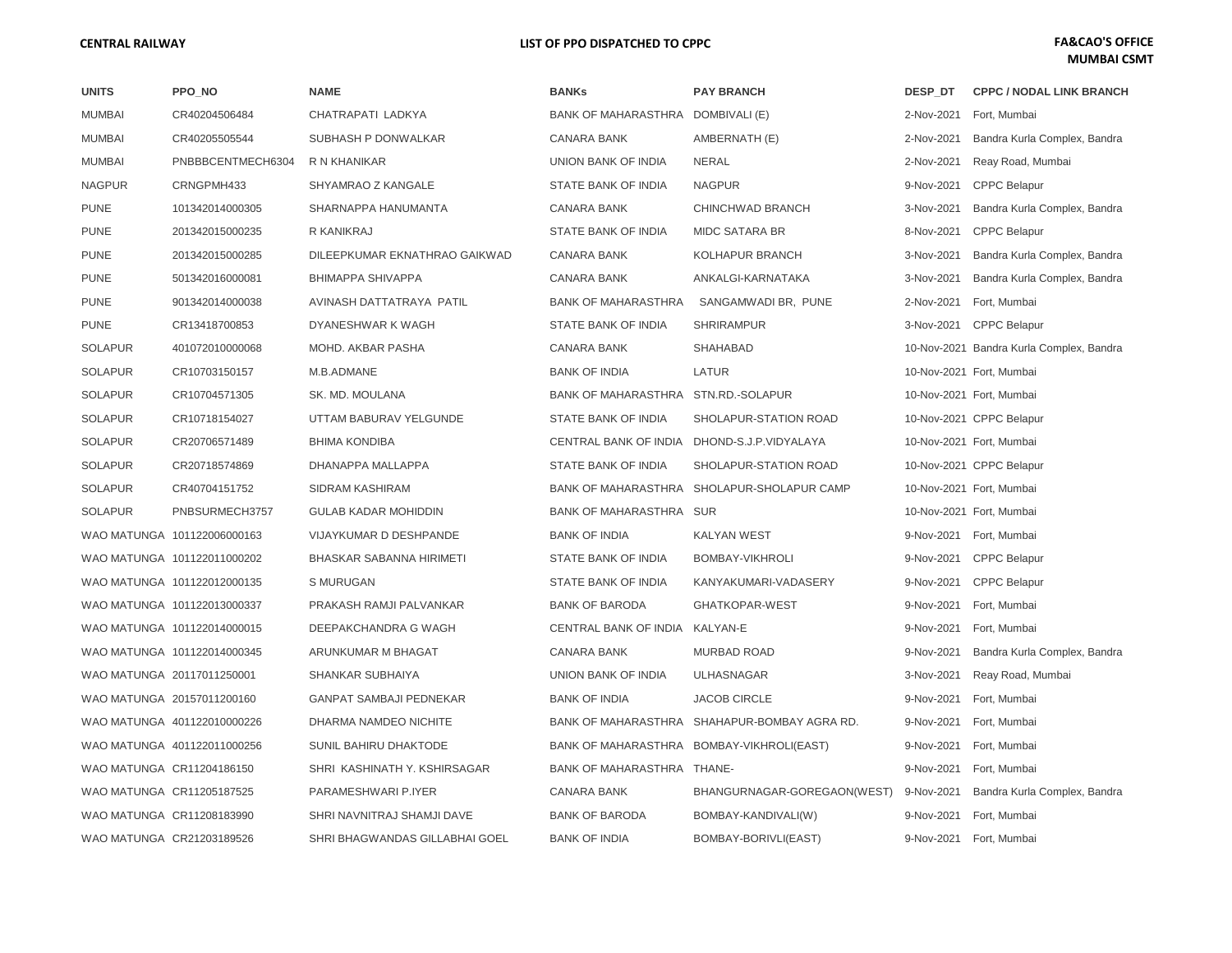| <b>UNITS</b>   | PPO_NO                      | <b>NAME</b>                    | <b>BANKs</b>                      | <b>PAY BRANCH</b>                            | DESP_DT    | <b>CPPC / NODAL LINK BRANCH</b>          |
|----------------|-----------------------------|--------------------------------|-----------------------------------|----------------------------------------------|------------|------------------------------------------|
| <b>MUMBAI</b>  | CR40204506484               | CHATRAPATI LADKYA              | BANK OF MAHARASTHRA DOMBIVALI (E) |                                              | 2-Nov-2021 | Fort, Mumbai                             |
| <b>MUMBAI</b>  | CR40205505544               | SUBHASH P DONWALKAR            | <b>CANARA BANK</b>                | AMBERNATH (E)                                | 2-Nov-2021 | Bandra Kurla Complex, Bandra             |
| <b>MUMBAI</b>  | PNBBBCENTMECH6304           | R N KHANIKAR                   | UNION BANK OF INDIA               | <b>NERAL</b>                                 | 2-Nov-2021 | Reay Road, Mumbai                        |
| <b>NAGPUR</b>  | CRNGPMH433                  | SHYAMRAO Z KANGALE             | STATE BANK OF INDIA               | <b>NAGPUR</b>                                | 9-Nov-2021 | <b>CPPC Belapur</b>                      |
| <b>PUNE</b>    | 101342014000305             | SHARNAPPA HANUMANTA            | <b>CANARA BANK</b>                | CHINCHWAD BRANCH                             | 3-Nov-2021 | Bandra Kurla Complex, Bandra             |
| <b>PUNE</b>    | 201342015000235             | R KANIKRAJ                     | STATE BANK OF INDIA               | <b>MIDC SATARA BR</b>                        | 8-Nov-2021 | <b>CPPC Belapur</b>                      |
| <b>PUNE</b>    | 201342015000285             | DILEEPKUMAR EKNATHRAO GAIKWAD  | <b>CANARA BANK</b>                | KOLHAPUR BRANCH                              | 3-Nov-2021 | Bandra Kurla Complex, Bandra             |
| <b>PUNE</b>    | 501342016000081             | <b>BHIMAPPA SHIVAPPA</b>       | <b>CANARA BANK</b>                | ANKALGI-KARNATAKA                            | 3-Nov-2021 | Bandra Kurla Complex, Bandra             |
| <b>PUNE</b>    | 901342014000038             | AVINASH DATTATRAYA PATIL       | <b>BANK OF MAHARASTHRA</b>        | SANGAMWADI BR, PUNE                          | 2-Nov-2021 | Fort, Mumbai                             |
| <b>PUNE</b>    | CR13418700853               | DYANESHWAR K WAGH              | STATE BANK OF INDIA               | <b>SHRIRAMPUR</b>                            | 3-Nov-2021 | <b>CPPC Belapur</b>                      |
| <b>SOLAPUR</b> | 401072010000068             | MOHD. AKBAR PASHA              | <b>CANARA BANK</b>                | SHAHABAD                                     |            | 10-Nov-2021 Bandra Kurla Complex, Bandra |
| <b>SOLAPUR</b> | CR10703150157               | M.B.ADMANE                     | <b>BANK OF INDIA</b>              | LATUR                                        |            | 10-Nov-2021 Fort, Mumbai                 |
| <b>SOLAPUR</b> | CR10704571305               | SK. MD. MOULANA                | <b>BANK OF MAHARASTHRA</b>        | STN.RD.-SOLAPUR                              |            | 10-Nov-2021 Fort, Mumbai                 |
| <b>SOLAPUR</b> | CR10718154027               | UTTAM BABURAV YELGUNDE         | STATE BANK OF INDIA               | SHOLAPUR-STATION ROAD                        |            | 10-Nov-2021 CPPC Belapur                 |
| <b>SOLAPUR</b> | CR20706571489               | <b>BHIMA KONDIBA</b>           | CENTRAL BANK OF INDIA             | DHOND-S.J.P.VIDYALAYA                        |            | 10-Nov-2021 Fort, Mumbai                 |
| <b>SOLAPUR</b> | CR20718574869               | DHANAPPA MALLAPPA              | STATE BANK OF INDIA               | SHOLAPUR-STATION ROAD                        |            | 10-Nov-2021 CPPC Belapur                 |
| <b>SOLAPUR</b> | CR40704151752               | SIDRAM KASHIRAM                |                                   | BANK OF MAHARASTHRA SHOLAPUR-SHOLAPUR CAMP   |            | 10-Nov-2021 Fort, Mumbai                 |
| <b>SOLAPUR</b> | PNBSURMECH3757              | <b>GULAB KADAR MOHIDDIN</b>    | BANK OF MAHARASTHRA SUR           |                                              |            | 10-Nov-2021 Fort, Mumbai                 |
|                | WAO MATUNGA 101122006000163 | VIJAYKUMAR D DESHPANDE         | <b>BANK OF INDIA</b>              | <b>KALYAN WEST</b>                           |            | 9-Nov-2021 Fort, Mumbai                  |
|                | WAO MATUNGA 101122011000202 | BHASKAR SABANNA HIRIMETI       | STATE BANK OF INDIA               | BOMBAY-VIKHROLI                              | 9-Nov-2021 | <b>CPPC Belapur</b>                      |
|                | WAO MATUNGA 101122012000135 | S MURUGAN                      | STATE BANK OF INDIA               | KANYAKUMARI-VADASERY                         | 9-Nov-2021 | <b>CPPC Belapur</b>                      |
|                | WAO MATUNGA 101122013000337 | PRAKASH RAMJI PALVANKAR        | <b>BANK OF BARODA</b>             | GHATKOPAR-WEST                               | 9-Nov-2021 | Fort, Mumbai                             |
|                | WAO MATUNGA 101122014000015 | DEEPAKCHANDRA G WAGH           | CENTRAL BANK OF INDIA             | KALYAN-E                                     | 9-Nov-2021 | Fort, Mumbai                             |
|                | WAO MATUNGA 101122014000345 | ARUNKUMAR M BHAGAT             | <b>CANARA BANK</b>                | <b>MURBAD ROAD</b>                           | 9-Nov-2021 | Bandra Kurla Complex, Bandra             |
|                | WAO MATUNGA 20117011250001  | <b>SHANKAR SUBHAIYA</b>        | <b>UNION BANK OF INDIA</b>        | <b>ULHASNAGAR</b>                            | 3-Nov-2021 | Reay Road, Mumbai                        |
|                | WAO MATUNGA 20157011200160  | <b>GANPAT SAMBAJI PEDNEKAR</b> | <b>BANK OF INDIA</b>              | <b>JACOB CIRCLE</b>                          | 9-Nov-2021 | Fort, Mumbai                             |
|                | WAO MATUNGA 401122010000226 | DHARMA NAMDEO NICHITE          |                                   | BANK OF MAHARASTHRA SHAHAPUR-BOMBAY AGRA RD. | 9-Nov-2021 | Fort, Mumbai                             |
|                | WAO MATUNGA 401122011000256 | SUNIL BAHIRU DHAKTODE          |                                   | BANK OF MAHARASTHRA BOMBAY-VIKHROLI(EAST)    | 9-Nov-2021 | Fort, Mumbai                             |
|                | WAO MATUNGA CR11204186150   | SHRI KASHINATH Y. KSHIRSAGAR   | BANK OF MAHARASTHRA THANE-        |                                              | 9-Nov-2021 | Fort, Mumbai                             |
|                | WAO MATUNGA CR11205187525   | PARAMESHWARI P.IYER            | <b>CANARA BANK</b>                | BHANGURNAGAR-GOREGAON(WEST)                  | 9-Nov-2021 | Bandra Kurla Complex, Bandra             |
|                | WAO MATUNGA CR11208183990   | SHRI NAVNITRAJ SHAMJI DAVE     | <b>BANK OF BARODA</b>             | BOMBAY-KANDIVALI(W)                          | 9-Nov-2021 | Fort, Mumbai                             |
|                | WAO MATUNGA CR21203189526   | SHRI BHAGWANDAS GILLABHAI GOEL | <b>BANK OF INDIA</b>              | BOMBAY-BORIVLI(EAST)                         |            | 9-Nov-2021 Fort, Mumbai                  |
|                |                             |                                |                                   |                                              |            |                                          |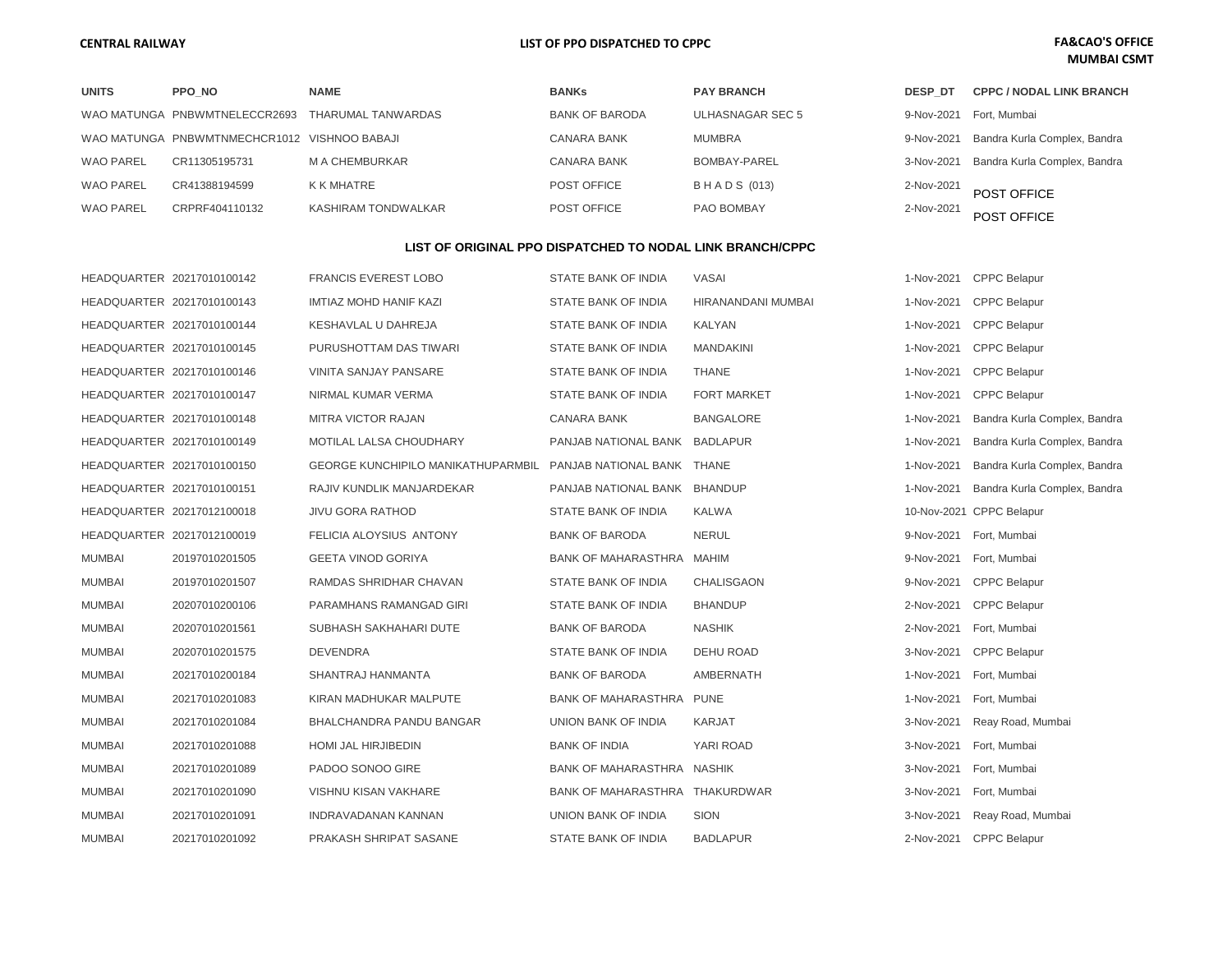## **MUMBAI CSMT**

| <b>UNITS</b>     | PPO NO                                       | <b>NAME</b>         | <b>BANKs</b>          | <b>PAY BRANCH</b>  | <b>DESP DT</b> | <b>CPPC / NODAL LINK BRANCH</b>         |
|------------------|----------------------------------------------|---------------------|-----------------------|--------------------|----------------|-----------------------------------------|
|                  | WAO MATUNGA PNBWMTNELECCR2693                | THARUMAL TANWARDAS  | <b>BANK OF BARODA</b> | ULHASNAGAR SEC 5   |                | 9-Nov-2021 Fort, Mumbai                 |
|                  | WAO MATUNGA PNBWMTNMECHCR1012 VISHNOO BABAJI |                     | CANARA BANK           | MUMBRA             | 9-Nov-2021     | Bandra Kurla Complex, Bandra            |
| <b>WAO PAREL</b> | CR11305195731                                | M A CHEMBURKAR      | CANARA BANK           | BOMBAY-PAREL       |                | 3-Nov-2021 Bandra Kurla Complex, Bandra |
| <b>WAO PAREL</b> | CR41388194599                                | K K MHATRE          | POST OFFICE           | <b>BHADS (013)</b> | 2-Nov-2021     | POST OFFICE                             |
| <b>WAO PAREL</b> | CRPRF404110132                               | KASHIRAM TONDWALKAR | POST OFFICE           | PAO BOMBAY         | 2-Nov-2021     | POST OFFICE                             |

#### **LIST OF ORIGINAL PPO DISPATCHED TO NODAL LINK BRANCH/CPPC**

|                            | HEADQUARTER 20217010100142 | <b>FRANCIS EVEREST LOBO</b>                                   | STATE BANK OF INDIA            | <b>VASAI</b>       | 1-Nov-2021 | <b>CPPC Belapur</b>          |
|----------------------------|----------------------------|---------------------------------------------------------------|--------------------------------|--------------------|------------|------------------------------|
| HEADQUARTER 20217010100143 |                            | <b>IMTIAZ MOHD HANIF KAZI</b>                                 | STATE BANK OF INDIA            | HIRANANDANI MUMBAI | 1-Nov-2021 | <b>CPPC Belapur</b>          |
|                            | HEADQUARTER 20217010100144 | KESHAVLAL U DAHREJA                                           | STATE BANK OF INDIA            | <b>KALYAN</b>      | 1-Nov-2021 | <b>CPPC Belapur</b>          |
| HEADQUARTER 20217010100145 |                            | PURUSHOTTAM DAS TIWARI                                        | STATE BANK OF INDIA            | <b>MANDAKINI</b>   | 1-Nov-2021 | <b>CPPC Belapur</b>          |
|                            | HEADQUARTER 20217010100146 | VINITA SANJAY PANSARE                                         | STATE BANK OF INDIA            | THANE              | 1-Nov-2021 | <b>CPPC Belapur</b>          |
| HEADQUARTER 20217010100147 |                            | NIRMAL KUMAR VERMA                                            | STATE BANK OF INDIA            | <b>FORT MARKET</b> | 1-Nov-2021 | <b>CPPC Belapur</b>          |
|                            | HEADQUARTER 20217010100148 | <b>MITRA VICTOR RAJAN</b>                                     | CANARA BANK                    | <b>BANGALORE</b>   | 1-Nov-2021 | Bandra Kurla Complex, Bandra |
| HEADQUARTER 20217010100149 |                            | MOTILAL LALSA CHOUDHARY                                       | PANJAB NATIONAL BANK BADLAPUR  |                    | 1-Nov-2021 | Bandra Kurla Complex, Bandra |
|                            | HEADQUARTER 20217010100150 | GEORGE KUNCHIPILO MANIKATHUPARMBIL PANJAB NATIONAL BANK THANE |                                |                    | 1-Nov-2021 | Bandra Kurla Complex, Bandra |
| HEADQUARTER 20217010100151 |                            | RAJIV KUNDLIK MANJARDEKAR                                     | PANJAB NATIONAL BANK BHANDUP   |                    | 1-Nov-2021 | Bandra Kurla Complex, Bandra |
| HEADQUARTER 20217012100018 |                            | <b>JIVU GORA RATHOD</b>                                       | STATE BANK OF INDIA            | <b>KALWA</b>       |            | 10-Nov-2021 CPPC Belapur     |
| HEADQUARTER 20217012100019 |                            | FELICIA ALOYSIUS ANTONY                                       | <b>BANK OF BARODA</b>          | <b>NERUL</b>       | 9-Nov-2021 | Fort, Mumbai                 |
| <b>MUMBAI</b>              | 20197010201505             | <b>GEETA VINOD GORIYA</b>                                     | BANK OF MAHARASTHRA MAHIM      |                    | 9-Nov-2021 | Fort, Mumbai                 |
| <b>MUMBAI</b>              | 20197010201507             | RAMDAS SHRIDHAR CHAVAN                                        | STATE BANK OF INDIA            | CHALISGAON         | 9-Nov-2021 | <b>CPPC Belapur</b>          |
| <b>MUMBAI</b>              | 20207010200106             | PARAMHANS RAMANGAD GIRI                                       | STATE BANK OF INDIA            | <b>BHANDUP</b>     | 2-Nov-2021 | <b>CPPC Belapur</b>          |
| <b>MUMBAI</b>              | 20207010201561             | SUBHASH SAKHAHARI DUTE                                        | <b>BANK OF BARODA</b>          | <b>NASHIK</b>      | 2-Nov-2021 | Fort, Mumbai                 |
| <b>MUMBAI</b>              | 20207010201575             | <b>DEVENDRA</b>                                               | STATE BANK OF INDIA            | <b>DEHU ROAD</b>   | 3-Nov-2021 | <b>CPPC Belapur</b>          |
| <b>MUMBAI</b>              | 20217010200184             | SHANTRAJ HANMANTA                                             | <b>BANK OF BARODA</b>          | <b>AMBERNATH</b>   | 1-Nov-2021 | Fort, Mumbai                 |
| <b>MUMBAI</b>              | 20217010201083             | KIRAN MADHUKAR MALPUTE                                        | BANK OF MAHARASTHRA PUNE       |                    | 1-Nov-2021 | Fort, Mumbai                 |
| <b>MUMBAI</b>              | 20217010201084             | <b>BHALCHANDRA PANDU BANGAR</b>                               | UNION BANK OF INDIA            | <b>KARJAT</b>      | 3-Nov-2021 | Reay Road, Mumbai            |
| <b>MUMBAI</b>              | 20217010201088             | HOMI JAL HIRJIBEDIN                                           | <b>BANK OF INDIA</b>           | YARI ROAD          | 3-Nov-2021 | Fort, Mumbai                 |
| <b>MUMBAI</b>              | 20217010201089             | PADOO SONOO GIRE                                              | BANK OF MAHARASTHRA NASHIK     |                    | 3-Nov-2021 | Fort, Mumbai                 |
| <b>MUMBAI</b>              | 20217010201090             | VISHNU KISAN VAKHARE                                          | BANK OF MAHARASTHRA THAKURDWAR |                    | 3-Nov-2021 | Fort, Mumbai                 |
| <b>MUMBAI</b>              | 20217010201091             | INDRAVADANAN KANNAN                                           | UNION BANK OF INDIA            | <b>SION</b>        | 3-Nov-2021 | Reay Road, Mumbai            |
| <b>MUMBAI</b>              | 20217010201092             | PRAKASH SHRIPAT SASANE                                        | STATE BANK OF INDIA            | <b>BADLAPUR</b>    | 2-Nov-2021 | <b>CPPC Belapur</b>          |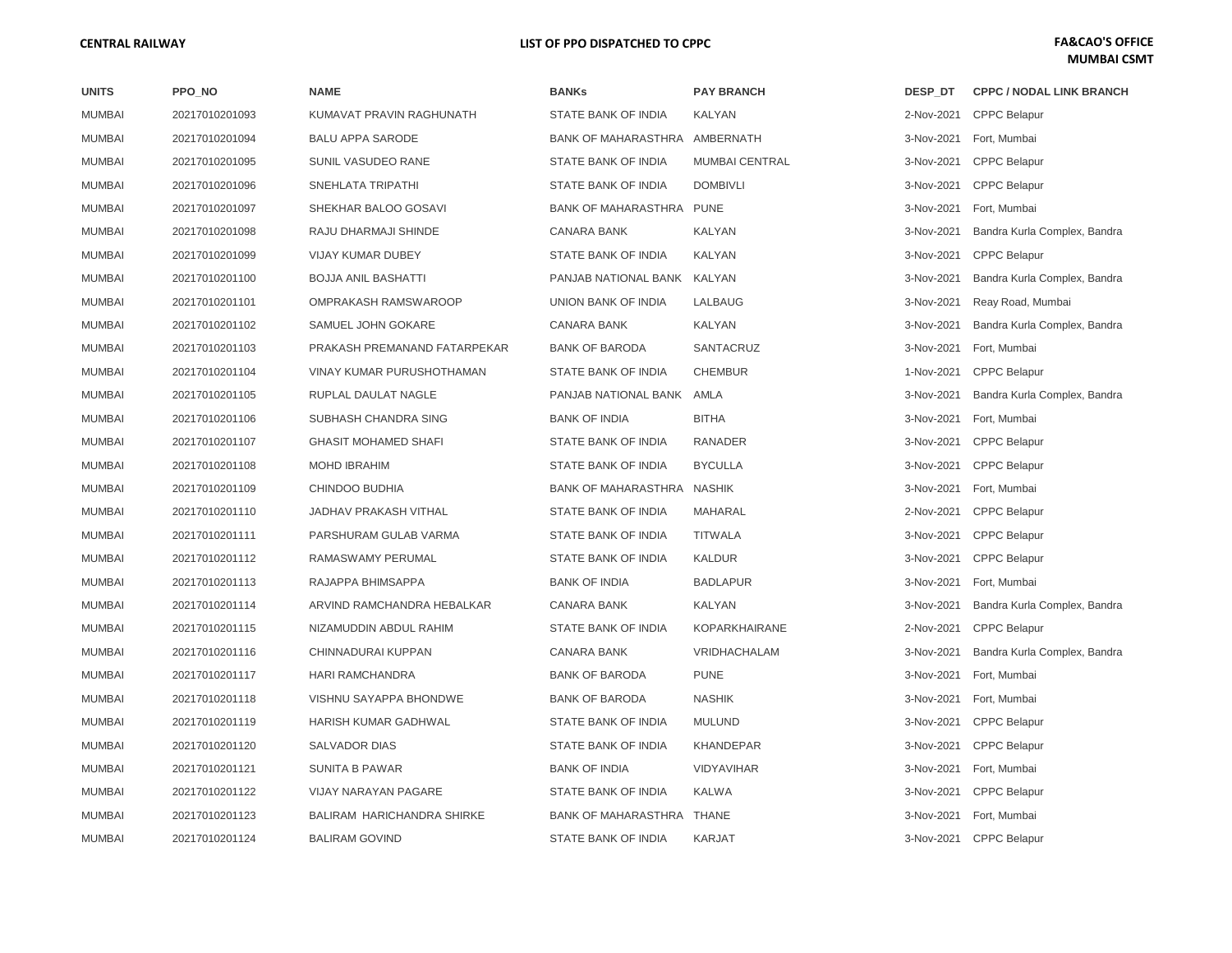| <b>UNITS</b>  | PPO NO         | <b>NAME</b>                       | <b>BANKs</b>                  | <b>PAY BRANCH</b>     | DESP DT    | <b>CPPC / NODAL LINK BRANCH</b> |
|---------------|----------------|-----------------------------------|-------------------------------|-----------------------|------------|---------------------------------|
| <b>MUMBAI</b> | 20217010201093 | KUMAVAT PRAVIN RAGHUNATH          | STATE BANK OF INDIA           | KALYAN                | 2-Nov-2021 | <b>CPPC Belapur</b>             |
| <b>MUMBAI</b> | 20217010201094 | <b>BALU APPA SARODE</b>           | BANK OF MAHARASTHRA AMBERNATH |                       | 3-Nov-2021 | Fort, Mumbai                    |
| <b>MUMBAI</b> | 20217010201095 | SUNIL VASUDEO RANE                | STATE BANK OF INDIA           | <b>MUMBAI CENTRAL</b> | 3-Nov-2021 | <b>CPPC Belapur</b>             |
| <b>MUMBAI</b> | 20217010201096 | SNEHLATA TRIPATHI                 | STATE BANK OF INDIA           | <b>DOMBIVLI</b>       | 3-Nov-2021 | <b>CPPC Belapur</b>             |
| <b>MUMBAI</b> | 20217010201097 | SHEKHAR BALOO GOSAVI              | BANK OF MAHARASTHRA PUNE      |                       | 3-Nov-2021 | Fort, Mumbai                    |
| <b>MUMBAI</b> | 20217010201098 | RAJU DHARMAJI SHINDE              | <b>CANARA BANK</b>            | KALYAN                | 3-Nov-2021 | Bandra Kurla Complex, Bandra    |
| <b>MUMBAI</b> | 20217010201099 | <b>VIJAY KUMAR DUBEY</b>          | STATE BANK OF INDIA           | KALYAN                | 3-Nov-2021 | <b>CPPC Belapur</b>             |
| <b>MUMBAI</b> | 20217010201100 | <b>BOJJA ANIL BASHATTI</b>        | PANJAB NATIONAL BANK KALYAN   |                       | 3-Nov-2021 | Bandra Kurla Complex, Bandra    |
| <b>MUMBAI</b> | 20217010201101 | OMPRAKASH RAMSWAROOP              | UNION BANK OF INDIA           | LALBAUG               | 3-Nov-2021 | Reay Road, Mumbai               |
| <b>MUMBAI</b> | 20217010201102 | SAMUEL JOHN GOKARE                | <b>CANARA BANK</b>            | KALYAN                | 3-Nov-2021 | Bandra Kurla Complex, Bandra    |
| <b>MUMBAI</b> | 20217010201103 | PRAKASH PREMANAND FATARPEKAR      | <b>BANK OF BARODA</b>         | SANTACRUZ             | 3-Nov-2021 | Fort, Mumbai                    |
| <b>MUMBAI</b> | 20217010201104 | VINAY KUMAR PURUSHOTHAMAN         | STATE BANK OF INDIA           | <b>CHEMBUR</b>        | 1-Nov-2021 | <b>CPPC Belapur</b>             |
| <b>MUMBAI</b> | 20217010201105 | RUPLAL DAULAT NAGLE               | PANJAB NATIONAL BANK          | AMLA                  | 3-Nov-2021 | Bandra Kurla Complex, Bandra    |
| <b>MUMBAI</b> | 20217010201106 | SUBHASH CHANDRA SING              | <b>BANK OF INDIA</b>          | <b>BITHA</b>          | 3-Nov-2021 | Fort, Mumbai                    |
| <b>MUMBAI</b> | 20217010201107 | <b>GHASIT MOHAMED SHAFI</b>       | STATE BANK OF INDIA           | RANADER               | 3-Nov-2021 | <b>CPPC Belapur</b>             |
| <b>MUMBAI</b> | 20217010201108 | <b>MOHD IBRAHIM</b>               | STATE BANK OF INDIA           | <b>BYCULLA</b>        | 3-Nov-2021 | <b>CPPC Belapur</b>             |
| <b>MUMBAI</b> | 20217010201109 | CHINDOO BUDHIA                    | <b>BANK OF MAHARASTHRA</b>    | NASHIK                | 3-Nov-2021 | Fort, Mumbai                    |
| <b>MUMBAI</b> | 20217010201110 | <b>JADHAV PRAKASH VITHAL</b>      | STATE BANK OF INDIA           | MAHARAL               | 2-Nov-2021 | <b>CPPC Belapur</b>             |
| <b>MUMBAI</b> | 20217010201111 | PARSHURAM GULAB VARMA             | STATE BANK OF INDIA           | <b>TITWALA</b>        | 3-Nov-2021 | <b>CPPC Belapur</b>             |
| <b>MUMBAI</b> | 20217010201112 | RAMASWAMY PERUMAL                 | STATE BANK OF INDIA           | <b>KALDUR</b>         | 3-Nov-2021 | <b>CPPC Belapur</b>             |
| <b>MUMBAI</b> | 20217010201113 | RAJAPPA BHIMSAPPA                 | <b>BANK OF INDIA</b>          | <b>BADLAPUR</b>       | 3-Nov-2021 | Fort, Mumbai                    |
| <b>MUMBAI</b> | 20217010201114 | ARVIND RAMCHANDRA HEBALKAR        | <b>CANARA BANK</b>            | KALYAN                | 3-Nov-2021 | Bandra Kurla Complex, Bandra    |
| <b>MUMBAI</b> | 20217010201115 | NIZAMUDDIN ABDUL RAHIM            | STATE BANK OF INDIA           | <b>KOPARKHAIRANE</b>  | 2-Nov-2021 | <b>CPPC Belapur</b>             |
| <b>MUMBAI</b> | 20217010201116 | CHINNADURAI KUPPAN                | CANARA BANK                   | VRIDHACHALAM          | 3-Nov-2021 | Bandra Kurla Complex, Bandra    |
| <b>MUMBAI</b> | 20217010201117 | HARI RAMCHANDRA                   | <b>BANK OF BARODA</b>         | <b>PUNE</b>           | 3-Nov-2021 | Fort, Mumbai                    |
| <b>MUMBAI</b> | 20217010201118 | VISHNU SAYAPPA BHONDWE            | <b>BANK OF BARODA</b>         | <b>NASHIK</b>         | 3-Nov-2021 | Fort, Mumbai                    |
| <b>MUMBAI</b> | 20217010201119 | HARISH KUMAR GADHWAL              | STATE BANK OF INDIA           | <b>MULUND</b>         | 3-Nov-2021 | <b>CPPC Belapur</b>             |
| <b>MUMBAI</b> | 20217010201120 | <b>SALVADOR DIAS</b>              | STATE BANK OF INDIA           | <b>KHANDEPAR</b>      | 3-Nov-2021 | <b>CPPC Belapur</b>             |
| <b>MUMBAI</b> | 20217010201121 | <b>SUNITA B PAWAR</b>             | <b>BANK OF INDIA</b>          | <b>VIDYAVIHAR</b>     | 3-Nov-2021 | Fort, Mumbai                    |
| <b>MUMBAI</b> | 20217010201122 | VIJAY NARAYAN PAGARE              | STATE BANK OF INDIA           | <b>KALWA</b>          | 3-Nov-2021 | <b>CPPC Belapur</b>             |
| <b>MUMBAI</b> | 20217010201123 | <b>BALIRAM HARICHANDRA SHIRKE</b> | BANK OF MAHARASTHRA THANE     |                       | 3-Nov-2021 | Fort, Mumbai                    |
| <b>MUMBAI</b> | 20217010201124 | <b>BALIRAM GOVIND</b>             | STATE BANK OF INDIA           | <b>KARJAT</b>         | 3-Nov-2021 | <b>CPPC Belapur</b>             |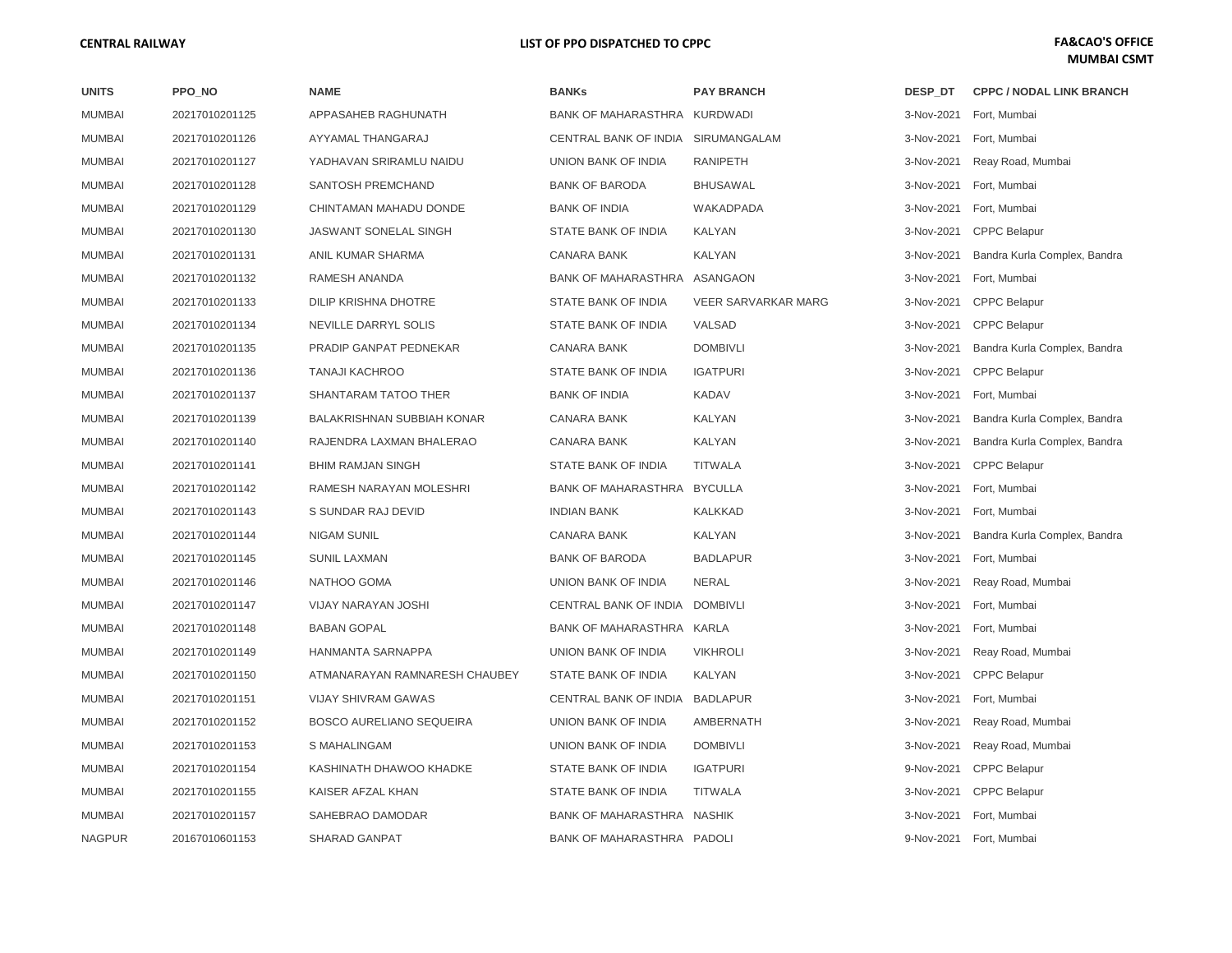| <b>UNITS</b>  | PPO NO         | <b>NAME</b>                       | <b>BANKs</b>                       | <b>PAY BRANCH</b>          | DESP DT    | <b>CPPC / NODAL LINK BRANCH</b> |
|---------------|----------------|-----------------------------------|------------------------------------|----------------------------|------------|---------------------------------|
| <b>MUMBAI</b> | 20217010201125 | APPASAHEB RAGHUNATH               | BANK OF MAHARASTHRA KURDWADI       |                            | 3-Nov-2021 | Fort, Mumbai                    |
| <b>MUMBAI</b> | 20217010201126 | AYYAMAL THANGARAJ                 | CENTRAL BANK OF INDIA SIRUMANGALAM |                            | 3-Nov-2021 | Fort, Mumbai                    |
| <b>MUMBAI</b> | 20217010201127 | YADHAVAN SRIRAMLU NAIDU           | UNION BANK OF INDIA                | <b>RANIPETH</b>            | 3-Nov-2021 | Reay Road, Mumbai               |
| <b>MUMBAI</b> | 20217010201128 | SANTOSH PREMCHAND                 | <b>BANK OF BARODA</b>              | <b>BHUSAWAL</b>            | 3-Nov-2021 | Fort, Mumbai                    |
| <b>MUMBAI</b> | 20217010201129 | CHINTAMAN MAHADU DONDE            | <b>BANK OF INDIA</b>               | WAKADPADA                  | 3-Nov-2021 | Fort, Mumbai                    |
| <b>MUMBAI</b> | 20217010201130 | <b>JASWANT SONELAL SINGH</b>      | STATE BANK OF INDIA                | KALYAN                     | 3-Nov-2021 | <b>CPPC Belapur</b>             |
| <b>MUMBAI</b> | 20217010201131 | ANIL KUMAR SHARMA                 | <b>CANARA BANK</b>                 | KALYAN                     | 3-Nov-2021 | Bandra Kurla Complex, Bandra    |
| <b>MUMBAI</b> | 20217010201132 | RAMESH ANANDA                     | BANK OF MAHARASTHRA ASANGAON       |                            | 3-Nov-2021 | Fort, Mumbai                    |
| <b>MUMBAI</b> | 20217010201133 | DILIP KRISHNA DHOTRE              | STATE BANK OF INDIA                | <b>VEER SARVARKAR MARG</b> | 3-Nov-2021 | <b>CPPC Belapur</b>             |
| <b>MUMBAI</b> | 20217010201134 | NEVILLE DARRYL SOLIS              | STATE BANK OF INDIA                | VALSAD                     | 3-Nov-2021 | <b>CPPC Belapur</b>             |
| <b>MUMBAI</b> | 20217010201135 | PRADIP GANPAT PEDNEKAR            | <b>CANARA BANK</b>                 | <b>DOMBIVLI</b>            | 3-Nov-2021 | Bandra Kurla Complex, Bandra    |
| <b>MUMBAI</b> | 20217010201136 | <b>TANAJI KACHROO</b>             | STATE BANK OF INDIA                | <b>IGATPURI</b>            | 3-Nov-2021 | <b>CPPC Belapur</b>             |
| <b>MUMBAI</b> | 20217010201137 | SHANTARAM TATOO THER              | <b>BANK OF INDIA</b>               | <b>KADAV</b>               | 3-Nov-2021 | Fort, Mumbai                    |
| <b>MUMBAI</b> | 20217010201139 | <b>BALAKRISHNAN SUBBIAH KONAR</b> | <b>CANARA BANK</b>                 | <b>KALYAN</b>              | 3-Nov-2021 | Bandra Kurla Complex, Bandra    |
| <b>MUMBAI</b> | 20217010201140 | RAJENDRA LAXMAN BHALERAO          | <b>CANARA BANK</b>                 | KALYAN                     | 3-Nov-2021 | Bandra Kurla Complex, Bandra    |
| <b>MUMBAI</b> | 20217010201141 | <b>BHIM RAMJAN SINGH</b>          | STATE BANK OF INDIA                | <b>TITWALA</b>             | 3-Nov-2021 | <b>CPPC Belapur</b>             |
| <b>MUMBAI</b> | 20217010201142 | RAMESH NARAYAN MOLESHRI           | <b>BANK OF MAHARASTHRA</b>         | <b>BYCULLA</b>             | 3-Nov-2021 | Fort, Mumbai                    |
| <b>MUMBAI</b> | 20217010201143 | S SUNDAR RAJ DEVID                | <b>INDIAN BANK</b>                 | <b>KALKKAD</b>             | 3-Nov-2021 | Fort, Mumbai                    |
| <b>MUMBAI</b> | 20217010201144 | <b>NIGAM SUNIL</b>                | <b>CANARA BANK</b>                 | KALYAN                     | 3-Nov-2021 | Bandra Kurla Complex, Bandra    |
| <b>MUMBAI</b> | 20217010201145 | <b>SUNIL LAXMAN</b>               | <b>BANK OF BARODA</b>              | <b>BADLAPUR</b>            | 3-Nov-2021 | Fort, Mumbai                    |
| <b>MUMBAI</b> | 20217010201146 | NATHOO GOMA                       | UNION BANK OF INDIA                | <b>NERAL</b>               | 3-Nov-2021 | Reay Road, Mumbai               |
| <b>MUMBAI</b> | 20217010201147 | VIJAY NARAYAN JOSHI               | CENTRAL BANK OF INDIA DOMBIVLI     |                            | 3-Nov-2021 | Fort, Mumbai                    |
| <b>MUMBAI</b> | 20217010201148 | <b>BABAN GOPAL</b>                | BANK OF MAHARASTHRA KARLA          |                            | 3-Nov-2021 | Fort, Mumbai                    |
| <b>MUMBAI</b> | 20217010201149 | HANMANTA SARNAPPA                 | UNION BANK OF INDIA                | <b>VIKHROLI</b>            | 3-Nov-2021 | Reay Road, Mumbai               |
| <b>MUMBAI</b> | 20217010201150 | ATMANARAYAN RAMNARESH CHAUBEY     | STATE BANK OF INDIA                | KALYAN                     | 3-Nov-2021 | <b>CPPC Belapur</b>             |
| <b>MUMBAI</b> | 20217010201151 | <b>VIJAY SHIVRAM GAWAS</b>        | CENTRAL BANK OF INDIA              | <b>BADLAPUR</b>            | 3-Nov-2021 | Fort, Mumbai                    |
| <b>MUMBAI</b> | 20217010201152 | <b>BOSCO AURELIANO SEQUEIRA</b>   | UNION BANK OF INDIA                | AMBERNATH                  | 3-Nov-2021 | Reay Road, Mumbai               |
| <b>MUMBAI</b> | 20217010201153 | S MAHALINGAM                      | UNION BANK OF INDIA                | <b>DOMBIVLI</b>            | 3-Nov-2021 | Reay Road, Mumbai               |
| <b>MUMBAI</b> | 20217010201154 | KASHINATH DHAWOO KHADKE           | STATE BANK OF INDIA                | <b>IGATPURI</b>            | 9-Nov-2021 | <b>CPPC Belapur</b>             |
| <b>MUMBAI</b> | 20217010201155 | KAISER AFZAL KHAN                 | STATE BANK OF INDIA                | <b>TITWALA</b>             | 3-Nov-2021 | <b>CPPC Belapur</b>             |
| <b>MUMBAI</b> | 20217010201157 | SAHEBRAO DAMODAR                  | BANK OF MAHARASTHRA NASHIK         |                            | 3-Nov-2021 | Fort, Mumbai                    |
| <b>NAGPUR</b> | 20167010601153 | SHARAD GANPAT                     | BANK OF MAHARASTHRA PADOLI         |                            |            | 9-Nov-2021 Fort, Mumbai         |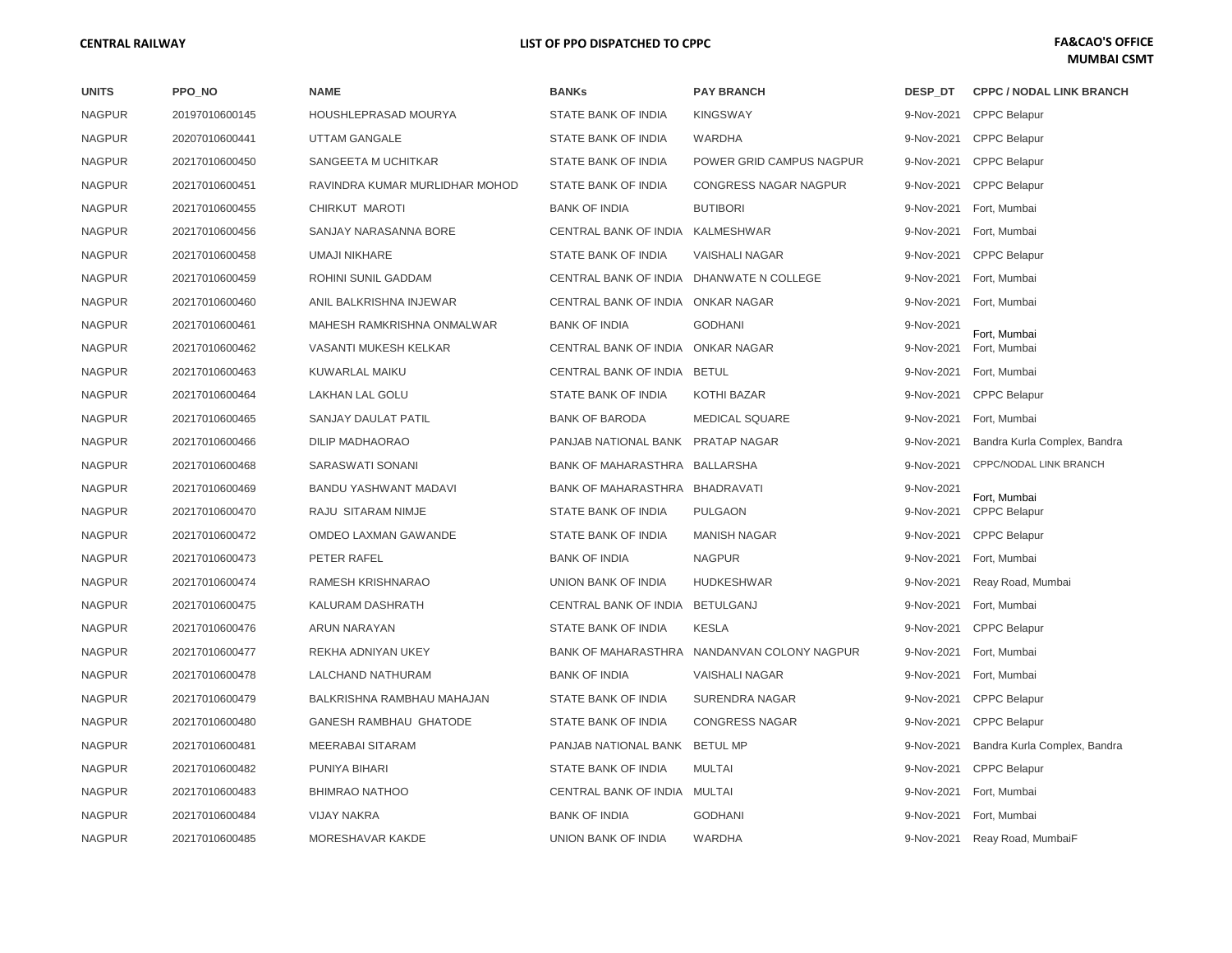| <b>UNITS</b>  | PPO NO         | <b>NAME</b>                    | <b>BANKs</b>                             | <b>PAY BRANCH</b>            | DESP DT    | <b>CPPC / NODAL LINK BRANCH</b> |
|---------------|----------------|--------------------------------|------------------------------------------|------------------------------|------------|---------------------------------|
| <b>NAGPUR</b> | 20197010600145 | <b>HOUSHLEPRASAD MOURYA</b>    | STATE BANK OF INDIA                      | <b>KINGSWAY</b>              | 9-Nov-2021 | <b>CPPC Belapur</b>             |
| <b>NAGPUR</b> | 20207010600441 | <b>UTTAM GANGALE</b>           | STATE BANK OF INDIA                      | <b>WARDHA</b>                |            | 9-Nov-2021 CPPC Belapur         |
| <b>NAGPUR</b> | 20217010600450 | SANGEETA M UCHITKAR            | STATE BANK OF INDIA                      | POWER GRID CAMPUS NAGPUR     | 9-Nov-2021 | <b>CPPC Belapur</b>             |
| <b>NAGPUR</b> | 20217010600451 | RAVINDRA KUMAR MURLIDHAR MOHOD | STATE BANK OF INDIA                      | <b>CONGRESS NAGAR NAGPUR</b> | 9-Nov-2021 | <b>CPPC Belapur</b>             |
| <b>NAGPUR</b> | 20217010600455 | CHIRKUT MAROTI                 | <b>BANK OF INDIA</b>                     | <b>BUTIBORI</b>              |            | 9-Nov-2021 Fort, Mumbai         |
| <b>NAGPUR</b> | 20217010600456 | SANJAY NARASANNA BORE          | CENTRAL BANK OF INDIA KALMESHWAR         |                              |            | 9-Nov-2021 Fort, Mumbai         |
| <b>NAGPUR</b> | 20217010600458 | UMAJI NIKHARE                  | STATE BANK OF INDIA                      | <b>VAISHALI NAGAR</b>        | 9-Nov-2021 | <b>CPPC Belapur</b>             |
| <b>NAGPUR</b> | 20217010600459 | ROHINI SUNIL GADDAM            | CENTRAL BANK OF INDIA DHANWATE N COLLEGE |                              | 9-Nov-2021 | Fort, Mumbai                    |
| <b>NAGPUR</b> | 20217010600460 | ANIL BALKRISHNA INJEWAR        | CENTRAL BANK OF INDIA ONKAR NAGAR        |                              | 9-Nov-2021 | Fort, Mumbai                    |
| <b>NAGPUR</b> | 20217010600461 | MAHESH RAMKRISHNA ONMALWAR     | <b>BANK OF INDIA</b>                     | <b>GODHANI</b>               | 9-Nov-2021 | Fort, Mumbai                    |
| <b>NAGPUR</b> | 20217010600462 | VASANTI MUKESH KELKAR          | CENTRAL BANK OF INDIA ONKAR NAGAR        |                              | 9-Nov-2021 | Fort, Mumbai                    |
| <b>NAGPUR</b> | 20217010600463 | KUWARLAL MAIKU                 | CENTRAL BANK OF INDIA BETUL              |                              |            | 9-Nov-2021 Fort, Mumbai         |
| <b>NAGPUR</b> | 20217010600464 | LAKHAN LAL GOLU                | STATE BANK OF INDIA                      | KOTHI BAZAR                  |            | 9-Nov-2021 CPPC Belapur         |
| <b>NAGPUR</b> | 20217010600465 | SANJAY DAULAT PATIL            | <b>BANK OF BARODA</b>                    | <b>MEDICAL SQUARE</b>        | 9-Nov-2021 | Fort, Mumbai                    |
| <b>NAGPUR</b> | 20217010600466 | DILIP MADHAORAO                | PANJAB NATIONAL BANK PRATAP NAGAR        |                              | 9-Nov-2021 | Bandra Kurla Complex, Bandra    |
| <b>NAGPUR</b> | 20217010600468 | SARASWATI SONANI               | BANK OF MAHARASTHRA BALLARSHA            |                              | 9-Nov-2021 | CPPC/NODAL LINK BRANCH          |
| <b>NAGPUR</b> | 20217010600469 | <b>BANDU YASHWANT MADAVI</b>   | BANK OF MAHARASTHRA BHADRAVATI           |                              | 9-Nov-2021 | Fort, Mumbai                    |
| <b>NAGPUR</b> | 20217010600470 | RAJU SITARAM NIMJE             | STATE BANK OF INDIA                      | <b>PULGAON</b>               | 9-Nov-2021 | <b>CPPC Belapur</b>             |
| <b>NAGPUR</b> | 20217010600472 | OMDEO LAXMAN GAWANDE           | STATE BANK OF INDIA                      | <b>MANISH NAGAR</b>          | 9-Nov-2021 | <b>CPPC Belapur</b>             |
| <b>NAGPUR</b> | 20217010600473 | PETER RAFEL                    | <b>BANK OF INDIA</b>                     | <b>NAGPUR</b>                | 9-Nov-2021 | Fort, Mumbai                    |
| <b>NAGPUR</b> | 20217010600474 | RAMESH KRISHNARAO              | UNION BANK OF INDIA                      | <b>HUDKESHWAR</b>            | 9-Nov-2021 | Reay Road, Mumbai               |
| <b>NAGPUR</b> | 20217010600475 | KALURAM DASHRATH               | CENTRAL BANK OF INDIA                    | BETULGANJ                    | 9-Nov-2021 | Fort, Mumbai                    |
| <b>NAGPUR</b> | 20217010600476 | <b>ARUN NARAYAN</b>            | STATE BANK OF INDIA                      | <b>KESLA</b>                 |            | 9-Nov-2021 CPPC Belapur         |
| <b>NAGPUR</b> | 20217010600477 | REKHA ADNIYAN UKEY             | <b>BANK OF MAHARASTHRA</b>               | NANDANVAN COLONY NAGPUR      | 9-Nov-2021 | Fort, Mumbai                    |
| <b>NAGPUR</b> | 20217010600478 | <b>LALCHAND NATHURAM</b>       | <b>BANK OF INDIA</b>                     | <b>VAISHALI NAGAR</b>        | 9-Nov-2021 | Fort, Mumbai                    |
| <b>NAGPUR</b> | 20217010600479 | BALKRISHNA RAMBHAU MAHAJAN     | STATE BANK OF INDIA                      | SURENDRA NAGAR               | 9-Nov-2021 | <b>CPPC Belapur</b>             |
| <b>NAGPUR</b> | 20217010600480 | <b>GANESH RAMBHAU GHATODE</b>  | STATE BANK OF INDIA                      | <b>CONGRESS NAGAR</b>        |            | 9-Nov-2021 CPPC Belapur         |
| <b>NAGPUR</b> | 20217010600481 | MEERABAI SITARAM               | PANJAB NATIONAL BANK BETUL MP            |                              | 9-Nov-2021 | Bandra Kurla Complex, Bandra    |
| <b>NAGPUR</b> | 20217010600482 | PUNIYA BIHARI                  | STATE BANK OF INDIA                      | <b>MULTAI</b>                | 9-Nov-2021 | <b>CPPC Belapur</b>             |
| <b>NAGPUR</b> | 20217010600483 | <b>BHIMRAO NATHOO</b>          | CENTRAL BANK OF INDIA MULTAI             |                              |            | 9-Nov-2021 Fort, Mumbai         |
| <b>NAGPUR</b> | 20217010600484 | <b>VIJAY NAKRA</b>             | <b>BANK OF INDIA</b>                     | <b>GODHANI</b>               | 9-Nov-2021 | Fort, Mumbai                    |
| <b>NAGPUR</b> | 20217010600485 | MORESHAVAR KAKDE               | UNION BANK OF INDIA                      | <b>WARDHA</b>                | 9-Nov-2021 | Reay Road, MumbaiF              |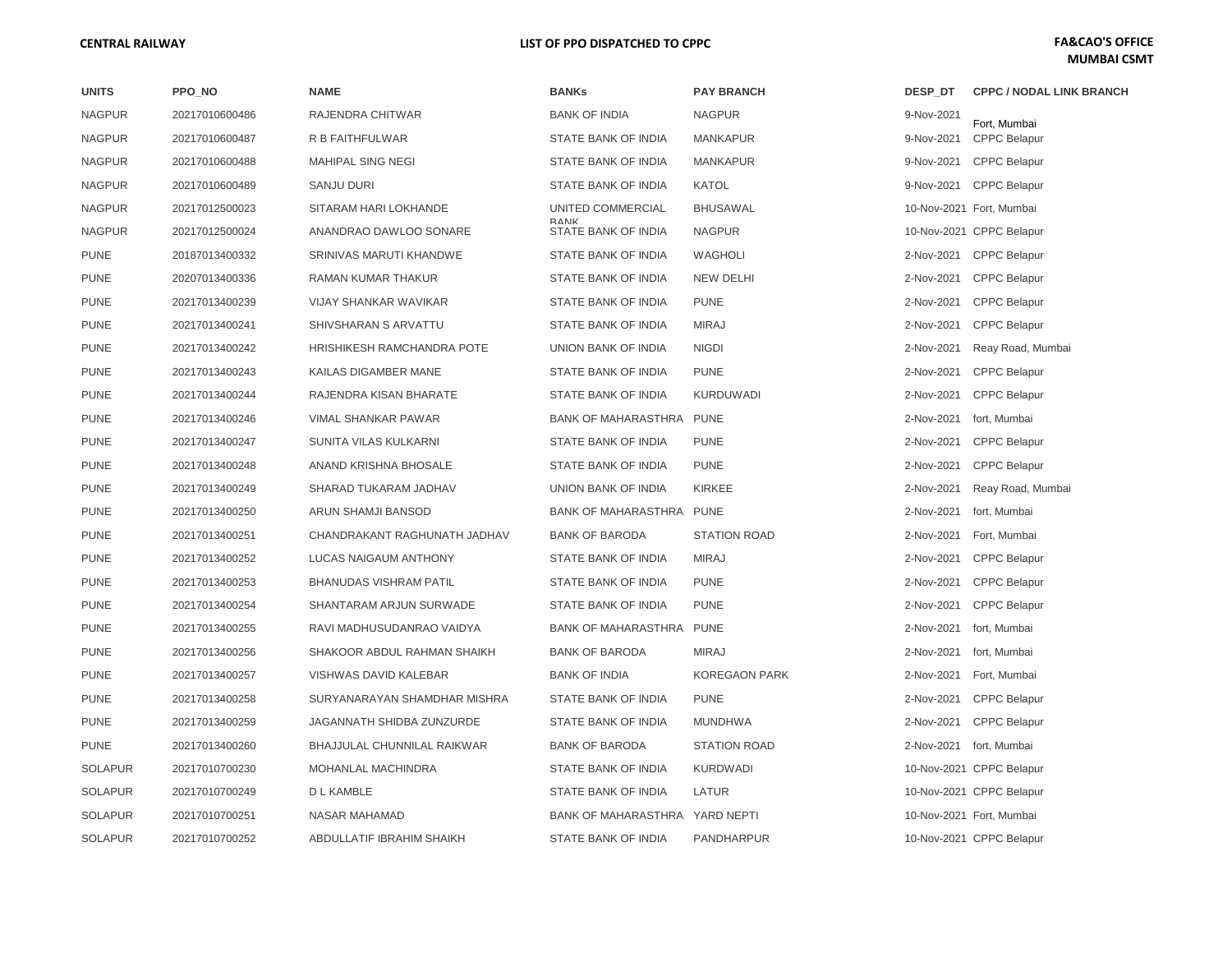| <b>UNITS</b>   | PPO NO         | <b>NAME</b>                   | <b>BANKs</b>                       | <b>PAY BRANCH</b>    | DESP DT    | <b>CPPC / NODAL LINK BRANCH</b> |
|----------------|----------------|-------------------------------|------------------------------------|----------------------|------------|---------------------------------|
| <b>NAGPUR</b>  | 20217010600486 | RAJENDRA CHITWAR              | <b>BANK OF INDIA</b>               | <b>NAGPUR</b>        | 9-Nov-2021 | Fort, Mumbai                    |
| <b>NAGPUR</b>  | 20217010600487 | R B FAITHFULWAR               | STATE BANK OF INDIA                | <b>MANKAPUR</b>      | 9-Nov-2021 | <b>CPPC Belapur</b>             |
| <b>NAGPUR</b>  | 20217010600488 | <b>MAHIPAL SING NEGI</b>      | STATE BANK OF INDIA                | <b>MANKAPUR</b>      | 9-Nov-2021 | <b>CPPC Belapur</b>             |
| <b>NAGPUR</b>  | 20217010600489 | SANJU DURI                    | STATE BANK OF INDIA                | KATOL                |            | 9-Nov-2021 CPPC Belapur         |
| <b>NAGPUR</b>  | 20217012500023 | SITARAM HARI LOKHANDE         | UNITED COMMERCIAL                  | <b>BHUSAWAL</b>      |            | 10-Nov-2021 Fort, Mumbai        |
| <b>NAGPUR</b>  | 20217012500024 | ANANDRAO DAWLOO SONARE        | <b>BANK</b><br>STATE BANK OF INDIA | <b>NAGPUR</b>        |            | 10-Nov-2021 CPPC Belapur        |
| <b>PUNE</b>    | 20187013400332 | SRINIVAS MARUTI KHANDWE       | STATE BANK OF INDIA                | <b>WAGHOLI</b>       |            | 2-Nov-2021 CPPC Belapur         |
| <b>PUNE</b>    | 20207013400336 | RAMAN KUMAR THAKUR            | STATE BANK OF INDIA                | <b>NEW DELHI</b>     |            | 2-Nov-2021 CPPC Belapur         |
| <b>PUNE</b>    | 20217013400239 | <b>VIJAY SHANKAR WAVIKAR</b>  | STATE BANK OF INDIA                | <b>PUNE</b>          |            | 2-Nov-2021 CPPC Belapur         |
| <b>PUNE</b>    | 20217013400241 | SHIVSHARAN S ARVATTU          | STATE BANK OF INDIA                | <b>MIRAJ</b>         | 2-Nov-2021 | <b>CPPC Belapur</b>             |
| <b>PUNE</b>    | 20217013400242 | HRISHIKESH RAMCHANDRA POTE    | UNION BANK OF INDIA                | <b>NIGDI</b>         | 2-Nov-2021 | Reay Road, Mumbai               |
| <b>PUNE</b>    | 20217013400243 | <b>KAILAS DIGAMBER MANE</b>   | STATE BANK OF INDIA                | <b>PUNE</b>          | 2-Nov-2021 | <b>CPPC Belapur</b>             |
| <b>PUNE</b>    | 20217013400244 | RAJENDRA KISAN BHARATE        | STATE BANK OF INDIA                | <b>KURDUWADI</b>     | 2-Nov-2021 | <b>CPPC Belapur</b>             |
| <b>PUNE</b>    | 20217013400246 | VIMAL SHANKAR PAWAR           | <b>BANK OF MAHARASTHRA</b>         | <b>PUNE</b>          | 2-Nov-2021 | fort, Mumbai                    |
| <b>PUNE</b>    | 20217013400247 | SUNITA VILAS KULKARNI         | STATE BANK OF INDIA                | <b>PUNE</b>          | 2-Nov-2021 | <b>CPPC Belapur</b>             |
| <b>PUNE</b>    | 20217013400248 | ANAND KRISHNA BHOSALE         | STATE BANK OF INDIA                | <b>PUNE</b>          | 2-Nov-2021 | <b>CPPC Belapur</b>             |
| <b>PUNE</b>    | 20217013400249 | SHARAD TUKARAM JADHAV         | UNION BANK OF INDIA                | <b>KIRKEE</b>        | 2-Nov-2021 | Reay Road, Mumbai               |
| <b>PUNE</b>    | 20217013400250 | ARUN SHAMJI BANSOD            | <b>BANK OF MAHARASTHRA</b>         | <b>PUNE</b>          | 2-Nov-2021 | fort, Mumbai                    |
| <b>PUNE</b>    | 20217013400251 | CHANDRAKANT RAGHUNATH JADHAV  | <b>BANK OF BARODA</b>              | <b>STATION ROAD</b>  |            | 2-Nov-2021 Fort, Mumbai         |
| <b>PUNE</b>    | 20217013400252 | LUCAS NAIGAUM ANTHONY         | STATE BANK OF INDIA                | <b>MIRAJ</b>         | 2-Nov-2021 | <b>CPPC Belapur</b>             |
| <b>PUNE</b>    | 20217013400253 | <b>BHANUDAS VISHRAM PATIL</b> | STATE BANK OF INDIA                | <b>PUNE</b>          | 2-Nov-2021 | <b>CPPC Belapur</b>             |
| <b>PUNE</b>    | 20217013400254 | SHANTARAM ARJUN SURWADE       | STATE BANK OF INDIA                | <b>PUNE</b>          | 2-Nov-2021 | <b>CPPC Belapur</b>             |
| <b>PUNE</b>    | 20217013400255 | RAVI MADHUSUDANRAO VAIDYA     | <b>BANK OF MAHARASTHRA</b>         | <b>PUNE</b>          | 2-Nov-2021 | fort, Mumbai                    |
| <b>PUNE</b>    | 20217013400256 | SHAKOOR ABDUL RAHMAN SHAIKH   | <b>BANK OF BARODA</b>              | <b>MIRAJ</b>         | 2-Nov-2021 | fort, Mumbai                    |
| <b>PUNE</b>    | 20217013400257 | VISHWAS DAVID KALEBAR         | <b>BANK OF INDIA</b>               | <b>KOREGAON PARK</b> | 2-Nov-2021 | Fort, Mumbai                    |
| <b>PUNE</b>    | 20217013400258 | SURYANARAYAN SHAMDHAR MISHRA  | STATE BANK OF INDIA                | <b>PUNE</b>          |            | 2-Nov-2021 CPPC Belapur         |
| <b>PUNE</b>    | 20217013400259 | JAGANNATH SHIDBA ZUNZURDE     | STATE BANK OF INDIA                | <b>MUNDHWA</b>       | 2-Nov-2021 | <b>CPPC Belapur</b>             |
| <b>PUNE</b>    | 20217013400260 | BHAJJULAL CHUNNILAL RAIKWAR   | <b>BANK OF BARODA</b>              | <b>STATION ROAD</b>  |            | 2-Nov-2021 fort, Mumbai         |
| <b>SOLAPUR</b> | 20217010700230 | MOHANLAL MACHINDRA            | STATE BANK OF INDIA                | <b>KURDWADI</b>      |            | 10-Nov-2021 CPPC Belapur        |
| <b>SOLAPUR</b> | 20217010700249 | D L KAMBLE                    | STATE BANK OF INDIA                | LATUR                |            | 10-Nov-2021 CPPC Belapur        |
| <b>SOLAPUR</b> | 20217010700251 | <b>NASAR MAHAMAD</b>          | <b>BANK OF MAHARASTHRA</b>         | YARD NEPTI           |            | 10-Nov-2021 Fort, Mumbai        |
| <b>SOLAPUR</b> | 20217010700252 | ABDULLATIF IBRAHIM SHAIKH     | STATE BANK OF INDIA                | <b>PANDHARPUR</b>    |            | 10-Nov-2021 CPPC Belapur        |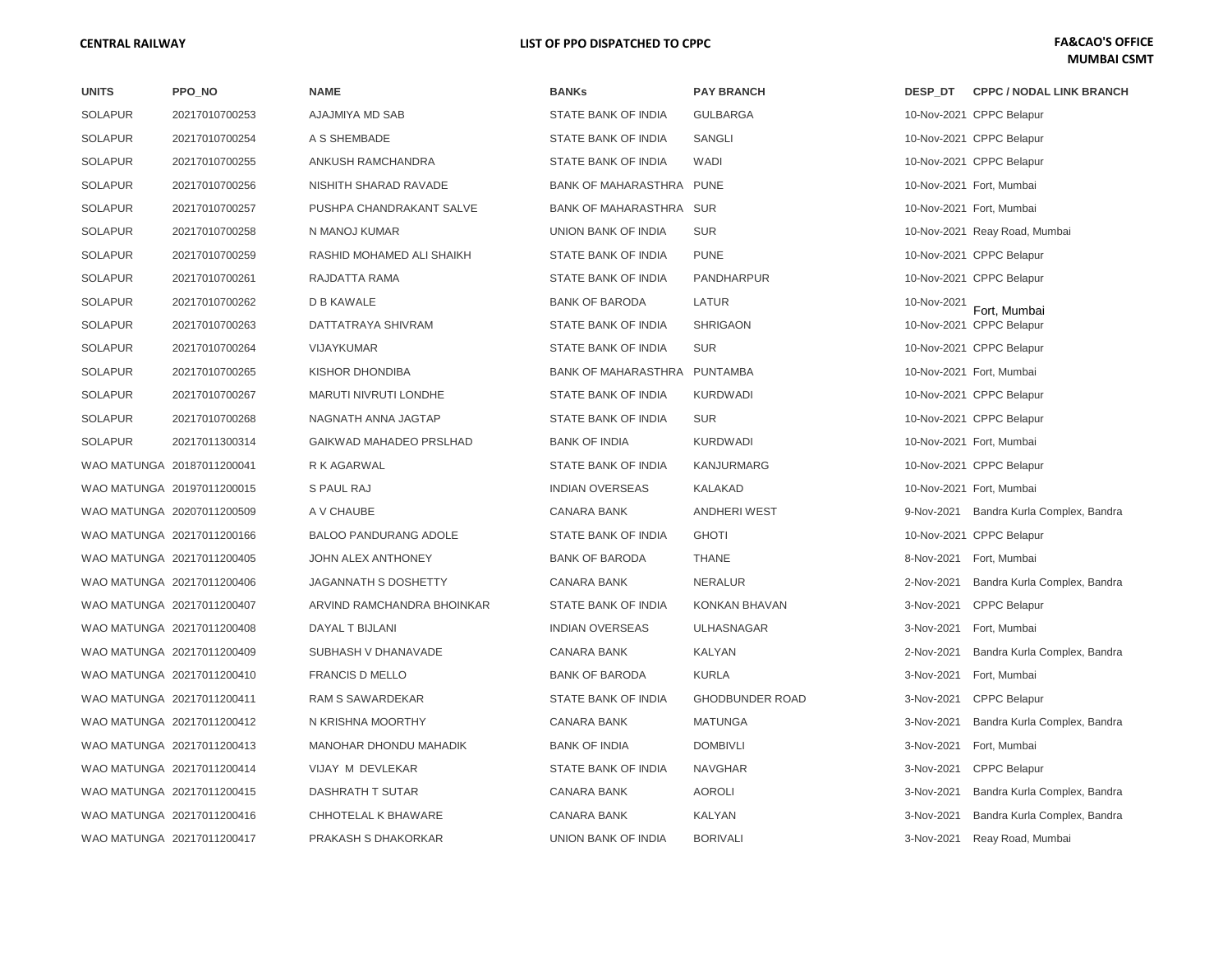| <b>UNITS</b>   | PPO_NO                     | <b>NAME</b>                  | <b>BANKs</b>               | <b>PAY BRANCH</b>      | DESP DT     | <b>CPPC / NODAL LINK BRANCH</b>         |
|----------------|----------------------------|------------------------------|----------------------------|------------------------|-------------|-----------------------------------------|
| <b>SOLAPUR</b> | 20217010700253             | AJAJMIYA MD SAB              | STATE BANK OF INDIA        | <b>GULBARGA</b>        |             | 10-Nov-2021 CPPC Belapur                |
| <b>SOLAPUR</b> | 20217010700254             | A S SHEMBADE                 | STATE BANK OF INDIA        | SANGLI                 |             | 10-Nov-2021 CPPC Belapur                |
| <b>SOLAPUR</b> | 20217010700255             | ANKUSH RAMCHANDRA            | STATE BANK OF INDIA        | WADI                   |             | 10-Nov-2021 CPPC Belapur                |
| <b>SOLAPUR</b> | 20217010700256             | NISHITH SHARAD RAVADE        | BANK OF MAHARASTHRA PUNE   |                        |             | 10-Nov-2021 Fort, Mumbai                |
| <b>SOLAPUR</b> | 20217010700257             | PUSHPA CHANDRAKANT SALVE     | BANK OF MAHARASTHRA SUR    |                        |             | 10-Nov-2021 Fort, Mumbai                |
| <b>SOLAPUR</b> | 20217010700258             | N MANOJ KUMAR                | UNION BANK OF INDIA        | <b>SUR</b>             |             | 10-Nov-2021 Reay Road, Mumbai           |
| <b>SOLAPUR</b> | 20217010700259             | RASHID MOHAMED ALI SHAIKH    | STATE BANK OF INDIA        | <b>PUNE</b>            |             | 10-Nov-2021 CPPC Belapur                |
| <b>SOLAPUR</b> | 20217010700261             | RAJDATTA RAMA                | STATE BANK OF INDIA        | PANDHARPUR             |             | 10-Nov-2021 CPPC Belapur                |
| <b>SOLAPUR</b> | 20217010700262             | D B KAWALE                   | <b>BANK OF BARODA</b>      | LATUR                  | 10-Nov-2021 | Fort, Mumbai                            |
| <b>SOLAPUR</b> | 20217010700263             | DATTATRAYA SHIVRAM           | STATE BANK OF INDIA        | <b>SHRIGAON</b>        |             | 10-Nov-2021 CPPC Belapur                |
| <b>SOLAPUR</b> | 20217010700264             | <b>VIJAYKUMAR</b>            | STATE BANK OF INDIA        | <b>SUR</b>             |             | 10-Nov-2021 CPPC Belapur                |
| <b>SOLAPUR</b> | 20217010700265             | KISHOR DHONDIBA              | <b>BANK OF MAHARASTHRA</b> | PUNTAMBA               |             | 10-Nov-2021 Fort, Mumbai                |
| <b>SOLAPUR</b> | 20217010700267             | <b>MARUTI NIVRUTI LONDHE</b> | <b>STATE BANK OF INDIA</b> | <b>KURDWADI</b>        |             | 10-Nov-2021 CPPC Belapur                |
| <b>SOLAPUR</b> | 20217010700268             | NAGNATH ANNA JAGTAP          | STATE BANK OF INDIA        | <b>SUR</b>             |             | 10-Nov-2021 CPPC Belapur                |
| <b>SOLAPUR</b> | 20217011300314             | GAIKWAD MAHADEO PRSLHAD      | <b>BANK OF INDIA</b>       | <b>KURDWADI</b>        |             | 10-Nov-2021 Fort, Mumbai                |
|                | WAO MATUNGA 20187011200041 | R K AGARWAL                  | STATE BANK OF INDIA        | KANJURMARG             |             | 10-Nov-2021 CPPC Belapur                |
|                | WAO MATUNGA 20197011200015 | <b>S PAUL RAJ</b>            | <b>INDIAN OVERSEAS</b>     | KALAKAD                |             | 10-Nov-2021 Fort, Mumbai                |
|                | WAO MATUNGA 20207011200509 | A V CHAUBE                   | <b>CANARA BANK</b>         | <b>ANDHERI WEST</b>    |             | 9-Nov-2021 Bandra Kurla Complex, Bandra |
|                | WAO MATUNGA 20217011200166 | <b>BALOO PANDURANG ADOLE</b> | <b>STATE BANK OF INDIA</b> | <b>GHOTI</b>           |             | 10-Nov-2021 CPPC Belapur                |
|                | WAO MATUNGA 20217011200405 | JOHN ALEX ANTHONEY           | <b>BANK OF BARODA</b>      | <b>THANE</b>           |             | 8-Nov-2021 Fort, Mumbai                 |
|                | WAO MATUNGA 20217011200406 | <b>JAGANNATH S DOSHETTY</b>  | <b>CANARA BANK</b>         | <b>NERALUR</b>         | 2-Nov-2021  | Bandra Kurla Complex, Bandra            |
|                | WAO MATUNGA 20217011200407 | ARVIND RAMCHANDRA BHOINKAR   | STATE BANK OF INDIA        | KONKAN BHAVAN          |             | 3-Nov-2021 CPPC Belapur                 |
|                | WAO MATUNGA 20217011200408 | DAYAL T BIJLANI              | <b>INDIAN OVERSEAS</b>     | <b>ULHASNAGAR</b>      | 3-Nov-2021  | Fort, Mumbai                            |
|                | WAO MATUNGA 20217011200409 | SUBHASH V DHANAVADE          | <b>CANARA BANK</b>         | KALYAN                 | 2-Nov-2021  | Bandra Kurla Complex, Bandra            |
|                | WAO MATUNGA 20217011200410 | <b>FRANCIS D MELLO</b>       | <b>BANK OF BARODA</b>      | <b>KURLA</b>           | 3-Nov-2021  | Fort, Mumbai                            |
|                | WAO MATUNGA 20217011200411 | RAM S SAWARDEKAR             | STATE BANK OF INDIA        | <b>GHODBUNDER ROAD</b> |             | 3-Nov-2021 CPPC Belapur                 |
|                | WAO MATUNGA 20217011200412 | N KRISHNA MOORTHY            | <b>CANARA BANK</b>         | <b>MATUNGA</b>         | 3-Nov-2021  | Bandra Kurla Complex, Bandra            |
|                | WAO MATUNGA 20217011200413 | MANOHAR DHONDU MAHADIK       | <b>BANK OF INDIA</b>       | <b>DOMBIVLI</b>        | 3-Nov-2021  | Fort, Mumbai                            |
|                | WAO MATUNGA 20217011200414 | VIJAY M DEVLEKAR             | STATE BANK OF INDIA        | <b>NAVGHAR</b>         | 3-Nov-2021  | <b>CPPC Belapur</b>                     |
|                | WAO MATUNGA 20217011200415 | DASHRATH T SUTAR             | <b>CANARA BANK</b>         | <b>AOROLI</b>          | 3-Nov-2021  | Bandra Kurla Complex, Bandra            |
|                | WAO MATUNGA 20217011200416 | CHHOTELAL K BHAWARE          | CANARA BANK                | KALYAN                 | 3-Nov-2021  | Bandra Kurla Complex, Bandra            |
|                | WAO MATUNGA 20217011200417 | PRAKASH S DHAKORKAR          | UNION BANK OF INDIA        | <b>BORIVALI</b>        | 3-Nov-2021  | Reay Road, Mumbai                       |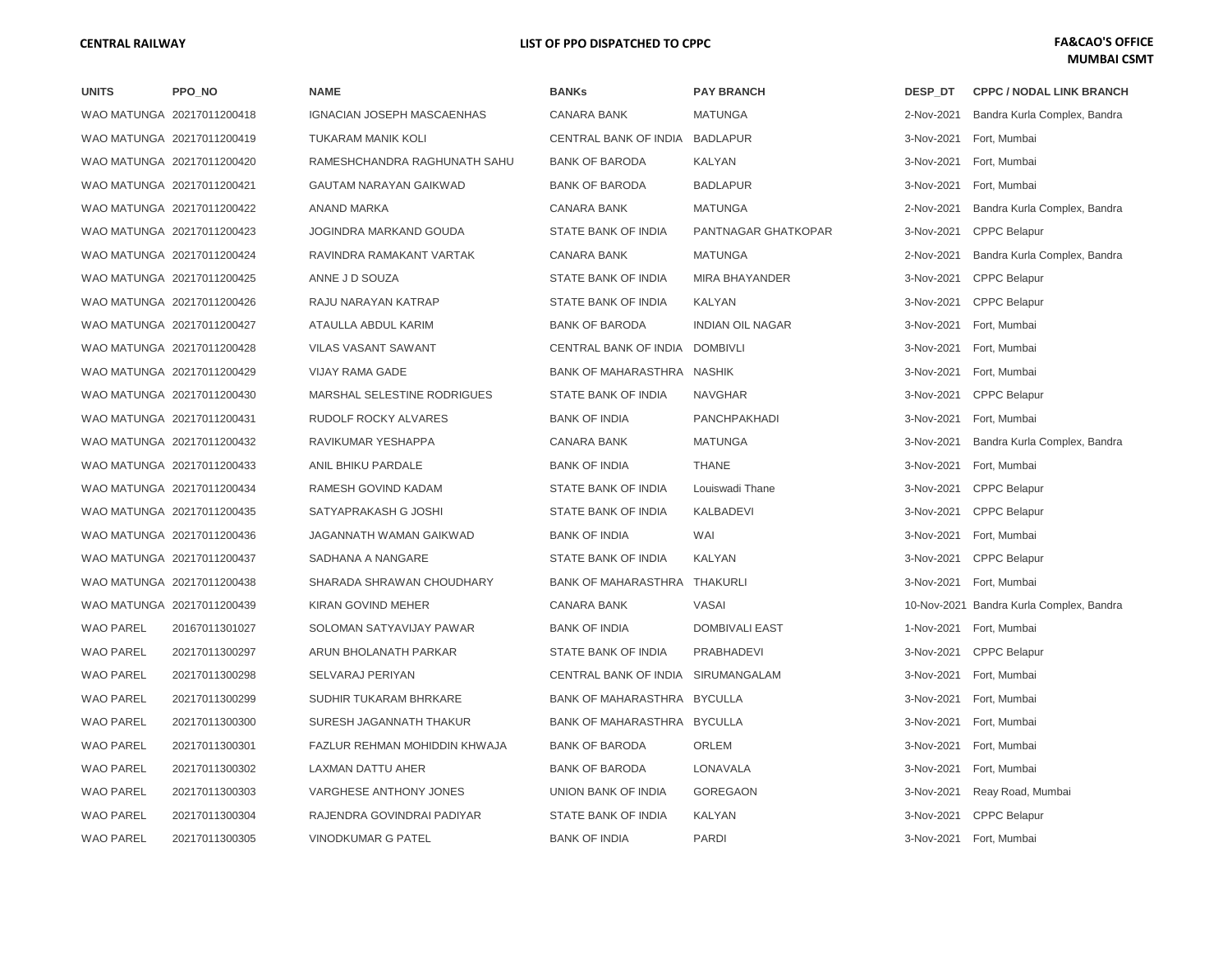| <b>UNITS</b>     | PPO_NO                     |
|------------------|----------------------------|
|                  | WAO MATUNGA 20217011200418 |
|                  | WAO MATUNGA 20217011200419 |
|                  | WAO MATUNGA 20217011200420 |
|                  | WAO MATUNGA 20217011200421 |
|                  | WAO MATUNGA 20217011200422 |
|                  | WAO MATUNGA 20217011200423 |
|                  | WAO MATUNGA 20217011200424 |
|                  | WAO MATUNGA 20217011200425 |
|                  | WAO MATUNGA 20217011200426 |
|                  | WAO MATUNGA 20217011200427 |
|                  | WAO MATUNGA 20217011200428 |
|                  | WAO MATUNGA 20217011200429 |
|                  | WAO MATUNGA 20217011200430 |
|                  | WAO MATUNGA 20217011200431 |
|                  | WAO MATUNGA 20217011200432 |
|                  | WAO MATUNGA 20217011200433 |
|                  | WAO MATUNGA 20217011200434 |
|                  | WAO MATUNGA 20217011200435 |
|                  | WAO MATUNGA 20217011200436 |
|                  | WAO MATUNGA 20217011200437 |
|                  | WAO MATUNGA 20217011200438 |
|                  | WAO MATUNGA 20217011200439 |
| WAO PAREL        | 20167011301027             |
| <b>WAO PAREL</b> | 20217011300297             |
| <b>WAO PAREL</b> | 20217011300298             |
| <b>WAO PAREL</b> | 20217011300299             |
| <b>WAO PAREL</b> | 20217011300300             |
| <b>WAO PAREL</b> | 20217011300301             |
| <b>WAO PAREL</b> | 20217011300302             |
| <b>WAO PAREL</b> | 20217011300303             |
| <b>WAO PAREL</b> | 20217011300304             |
| <b>WAO PAREL</b> | 20217011300305             |

| <b>NAME</b>                        |
|------------------------------------|
| GNACIAN JOSEPH MASCAENHAS          |
| TUKARAM MANIK KOLI                 |
| RAMESHCHANDRA RAGHUNATH SAHU       |
| GAUTAM NARAYAN GAIKWAD             |
| ANAND MARKA                        |
| JOGINDRA MARKAND GOUDA             |
| RAVINDRA RAMAKANT VARTAK           |
| ANNE J D SOUZA                     |
| RAJU NARAYAN KATRAP                |
| ATAULLA ABDUL KARIM                |
| <b>VILAS VASANT SAWANT</b>         |
| <b>VIJAY RAMA GADE</b>             |
| <b>MARSHAL SELESTINE RODRIGUES</b> |
| RUDOLF ROCKY ALVARES               |
| RAVIKUMAR YESHAPPA                 |
| ANIL BHIKU PARDALE                 |
| RAMESH GOVIND KADAM                |
| SATYAPRAKASH G JOSHI               |
| JAGANNATH WAMAN GAIKWAD            |
| SADHANA A NANGARE                  |
| SHARADA SHRAWAN CHOUDHARY          |
| KIRAN GOVIND MEHER                 |
| SOLOMAN SATYAVIJAY PAWAR           |
| ARUN BHOLANATH PARKAR              |
| SELVARAJ PERIYAN                   |
| SUDHIR TUKARAM BHRKARE             |
| SURESH JAGANNATH THAKUR            |
| FAZLUR REHMAN MOHIDDIN KHWAJA      |
| LAXMAN DATTU AHER                  |
| VARGHESE ANTHONY JONES             |
| RAJENDRA GOVINDRAI PADIYAR         |
| <b>VINODKUMAR G PATEL</b>          |

| UNITS            | PPO_NO                     | <b>NAME</b>                   | <b>BANKs</b>                   | <b>PAY BRANCH</b>       | DESP DT    | <b>CPPC / NODAL LINK BRANCH</b>          |
|------------------|----------------------------|-------------------------------|--------------------------------|-------------------------|------------|------------------------------------------|
|                  | WAO MATUNGA 20217011200418 | IGNACIAN JOSEPH MASCAENHAS    | <b>CANARA BANK</b>             | <b>MATUNGA</b>          | 2-Nov-2021 | Bandra Kurla Complex, Bandra             |
|                  | WAO MATUNGA 20217011200419 | TUKARAM MANIK KOLI            | CENTRAL BANK OF INDIA BADLAPUR |                         | 3-Nov-2021 | Fort, Mumbai                             |
|                  | WAO MATUNGA 20217011200420 | RAMESHCHANDRA RAGHUNATH SAHU  | <b>BANK OF BARODA</b>          | KALYAN                  | 3-Nov-2021 | Fort, Mumbai                             |
|                  | WAO MATUNGA 20217011200421 | GAUTAM NARAYAN GAIKWAD        | <b>BANK OF BARODA</b>          | <b>BADLAPUR</b>         | 3-Nov-2021 | Fort, Mumbai                             |
|                  | WAO MATUNGA 20217011200422 | ANAND MARKA                   | <b>CANARA BANK</b>             | <b>MATUNGA</b>          | 2-Nov-2021 | Bandra Kurla Complex, Bandra             |
|                  | WAO MATUNGA 20217011200423 | JOGINDRA MARKAND GOUDA        | STATE BANK OF INDIA            | PANTNAGAR GHATKOPAR     | 3-Nov-2021 | <b>CPPC Belapur</b>                      |
|                  | WAO MATUNGA 20217011200424 | RAVINDRA RAMAKANT VARTAK      | <b>CANARA BANK</b>             | <b>MATUNGA</b>          | 2-Nov-2021 | Bandra Kurla Complex, Bandra             |
|                  | WAO MATUNGA 20217011200425 | ANNE J D SOUZA                | STATE BANK OF INDIA            | MIRA BHAYANDER          | 3-Nov-2021 | <b>CPPC Belapur</b>                      |
|                  | WAO MATUNGA 20217011200426 | RAJU NARAYAN KATRAP           | STATE BANK OF INDIA            | KALYAN                  | 3-Nov-2021 | <b>CPPC Belapur</b>                      |
|                  | WAO MATUNGA 20217011200427 | ATAULLA ABDUL KARIM           | <b>BANK OF BARODA</b>          | <b>INDIAN OIL NAGAR</b> | 3-Nov-2021 | Fort, Mumbai                             |
|                  | WAO MATUNGA 20217011200428 | <b>VILAS VASANT SAWANT</b>    | CENTRAL BANK OF INDIA DOMBIVLI |                         | 3-Nov-2021 | Fort, Mumbai                             |
|                  | WAO MATUNGA 20217011200429 | <b>VIJAY RAMA GADE</b>        | BANK OF MAHARASTHRA NASHIK     |                         | 3-Nov-2021 | Fort, Mumbai                             |
|                  | WAO MATUNGA 20217011200430 | MARSHAL SELESTINE RODRIGUES   | STATE BANK OF INDIA            | <b>NAVGHAR</b>          | 3-Nov-2021 | <b>CPPC Belapur</b>                      |
|                  | WAO MATUNGA 20217011200431 | RUDOLF ROCKY ALVARES          | <b>BANK OF INDIA</b>           | <b>PANCHPAKHADI</b>     | 3-Nov-2021 | Fort, Mumbai                             |
|                  | WAO MATUNGA 20217011200432 | RAVIKUMAR YESHAPPA            | <b>CANARA BANK</b>             | <b>MATUNGA</b>          | 3-Nov-2021 | Bandra Kurla Complex, Bandra             |
|                  | WAO MATUNGA 20217011200433 | ANIL BHIKU PARDALE            | <b>BANK OF INDIA</b>           | <b>THANE</b>            | 3-Nov-2021 | Fort, Mumbai                             |
|                  | WAO MATUNGA 20217011200434 | RAMESH GOVIND KADAM           | STATE BANK OF INDIA            | Louiswadi Thane         | 3-Nov-2021 | <b>CPPC Belapur</b>                      |
|                  | WAO MATUNGA 20217011200435 | SATYAPRAKASH G JOSHI          | STATE BANK OF INDIA            | <b>KALBADEVI</b>        | 3-Nov-2021 | <b>CPPC Belapur</b>                      |
|                  | WAO MATUNGA 20217011200436 | JAGANNATH WAMAN GAIKWAD       | <b>BANK OF INDIA</b>           | WAI                     | 3-Nov-2021 | Fort, Mumbai                             |
|                  | WAO MATUNGA 20217011200437 | SADHANA A NANGARE             | STATE BANK OF INDIA            | KALYAN                  | 3-Nov-2021 | <b>CPPC Belapur</b>                      |
|                  | WAO MATUNGA 20217011200438 | SHARADA SHRAWAN CHOUDHARY     | BANK OF MAHARASTHRA THAKURLI   |                         | 3-Nov-2021 | Fort, Mumbai                             |
|                  | WAO MATUNGA 20217011200439 | KIRAN GOVIND MEHER            | <b>CANARA BANK</b>             | VASAI                   |            | 10-Nov-2021 Bandra Kurla Complex, Bandra |
| <b>WAO PAREL</b> | 20167011301027             | SOLOMAN SATYAVIJAY PAWAR      | <b>BANK OF INDIA</b>           | <b>DOMBIVALI EAST</b>   | 1-Nov-2021 | Fort, Mumbai                             |
| WAO PAREL        | 20217011300297             | ARUN BHOLANATH PARKAR         | STATE BANK OF INDIA            | PRABHADEVI              | 3-Nov-2021 | <b>CPPC Belapur</b>                      |
| <b>WAO PAREL</b> | 20217011300298             | SELVARAJ PERIYAN              | CENTRAL BANK OF INDIA          | SIRUMANGALAM            | 3-Nov-2021 | Fort, Mumbai                             |
| WAO PAREL        | 20217011300299             | SUDHIR TUKARAM BHRKARE        | BANK OF MAHARASTHRA BYCULLA    |                         | 3-Nov-2021 | Fort, Mumbai                             |
| <b>WAO PAREL</b> | 20217011300300             | SURESH JAGANNATH THAKUR       | BANK OF MAHARASTHRA BYCULLA    |                         | 3-Nov-2021 | Fort, Mumbai                             |
| WAO PAREL        | 20217011300301             | FAZLUR REHMAN MOHIDDIN KHWAJA | <b>BANK OF BARODA</b>          | ORLEM                   | 3-Nov-2021 | Fort, Mumbai                             |
| <b>WAO PAREL</b> | 20217011300302             | LAXMAN DATTU AHER             | <b>BANK OF BARODA</b>          | LONAVALA                | 3-Nov-2021 | Fort, Mumbai                             |
| WAO PAREL        | 20217011300303             | VARGHESE ANTHONY JONES        | UNION BANK OF INDIA            | <b>GOREGAON</b>         | 3-Nov-2021 | Reay Road, Mumbai                        |
| <b>WAO PAREL</b> | 20217011300304             | RAJENDRA GOVINDRAI PADIYAR    | STATE BANK OF INDIA            | KALYAN                  | 3-Nov-2021 | <b>CPPC Belapur</b>                      |
| WAO PAREL        | 20217011300305             | <b>VINODKUMAR G PATEL</b>     | <b>BANK OF INDIA</b>           | <b>PARDI</b>            |            | 3-Nov-2021 Fort, Mumbai                  |

| DESP DT    | <b>CPPC / NODAL LINK BRANCH</b>          |
|------------|------------------------------------------|
| 2-Nov-2021 | Bandra Kurla Complex, Bandra             |
| 3-Nov-2021 | Fort, Mumbai                             |
| 3-Nov-2021 | Fort, Mumbai                             |
| 3-Nov-2021 | Fort. Mumbai                             |
| 2-Nov-2021 | Bandra Kurla Complex, Bandra             |
| 3-Nov-2021 | <b>CPPC Belapur</b>                      |
| 2-Nov-2021 | Bandra Kurla Complex, Bandra             |
| 3-Nov-2021 | <b>CPPC Belapur</b>                      |
| 3-Nov-2021 | <b>CPPC Belapur</b>                      |
| 3-Nov-2021 | Fort, Mumbai                             |
| 3-Nov-2021 | Fort, Mumbai                             |
| 3-Nov-2021 | Fort, Mumbai                             |
| 3-Nov-2021 | <b>CPPC Belapur</b>                      |
| 3-Nov-2021 | Fort, Mumbai                             |
| 3-Nov-2021 | Bandra Kurla Complex, Bandra             |
| 3-Nov-2021 | Fort, Mumbai                             |
| 3-Nov-2021 | <b>CPPC Belapur</b>                      |
| 3-Nov-2021 | <b>CPPC Belapur</b>                      |
| 3-Nov-2021 | Fort, Mumbai                             |
| 3-Nov-2021 | <b>CPPC Belapur</b>                      |
| 3-Nov-2021 | Fort, Mumbai                             |
|            | 10-Nov-2021 Bandra Kurla Complex, Bandra |
| 1-Nov-2021 | Fort, Mumbai                             |
| 3-Nov-2021 | <b>CPPC Belapur</b>                      |
| 3-Nov-2021 | Fort, Mumbai                             |
| 3-Nov-2021 | Fort, Mumbai                             |
| 3-Nov-2021 | Fort, Mumbai                             |
| 3-Nov-2021 | Fort, Mumbai                             |
| 3-Nov-2021 | Fort, Mumbai                             |
| 3-Nov-2021 | Reay Road, Mumbai                        |
| 3-Nov-2021 | <b>CPPC Belapur</b>                      |
| 3-Nov-2021 | Fort, Mumbai                             |